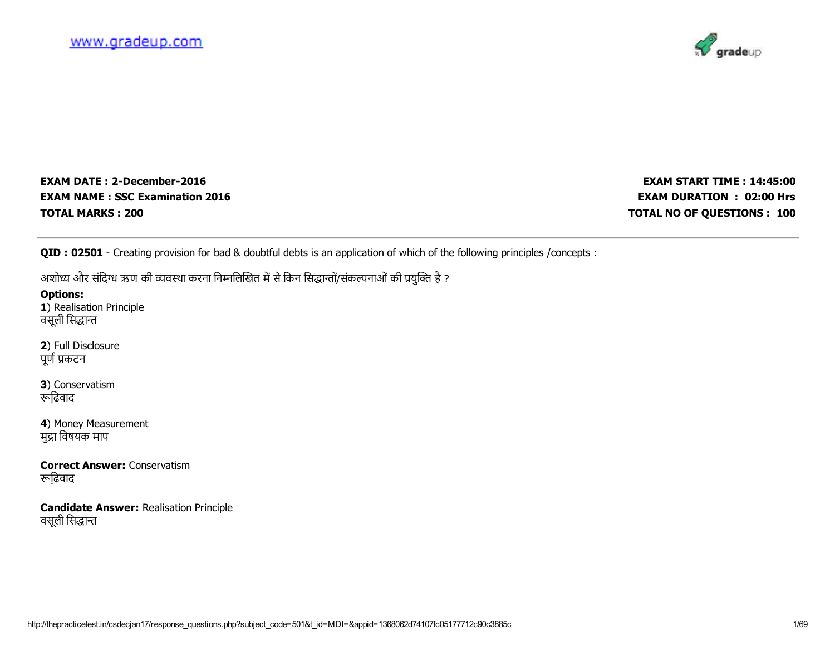

EXAM DATE: 2-December-2016 EXAM NAME : SSC Examination 2016 TOTAL MARKS : 200

EXAM START TIME : 14:45:00 EXAM DURATION : 02:00 Hrs TOTAL NO OF QUESTIONS : 100

QID : 02501 - Creating provision for bad & doubtful debts is an application of which of the following principles /concepts :

अशोध्य और संदिग्ध ऋण की व्यवस्था करना निम्नलिखित में से किन सिद्धान्तों/संकल्पनाओं की प्रयुक्ति है ?

Options: 1) Realisation Principle वसूली सिद्धान्त

2) Full Disclosure पूर्ण प्रकटन

3) Conservatism ि़ढवाद

4) Money Measurement मुद्रा विषयक माप

Correct Answer: Conservatism ि़ढवाद

Candidate Answer: Realisation Principle वसूली सिद्धान्त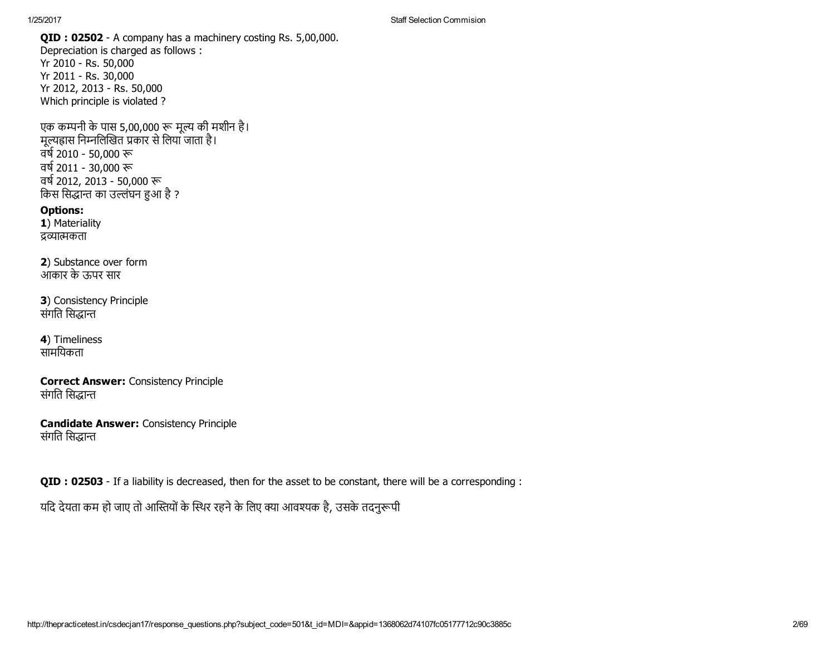1/25/2017 Staff Selection Commision

QID : 02502 - A company has a machinery costing Rs. 5,00,000. Depreciation is charged as follows : Yr 2010 - Rs. 50,000 Yr 2011 - Rs. 30,000 Yr 2012, 2013 - Rs. 50,000 Which principle is violated ?

एक कम्पनी के पास 5,00,000 रू मूल्य की मशीन है। मूल्यह्रास निम्नलिखित प्रकार से लिया जाता है। वर्ष 2010 - 50,000 रू वर्ष 2011 - 30,000 रू বৰ্ষ 2012, 2013 - 50,000 रू किस सिद्धान्त का उल्लंघन हुआ है ?

Options: 1) Materiality द्रव्यात्मकता

2) Substance over form आकार के ऊपर सार

3) Consistency Principle संगति सिद्धान्त

4) Timeliness सामियकता

Correct Answer: Consistency Principle संगति सिद्धान्त

Candidate Answer: Consistency Principle संगति सिद्धान्त

**QID : 02503** - If a liability is decreased, then for the asset to be constant, there will be a corresponding :

यदि देयता कम हो जाए तो आस्तियों के स्थिर रहने के लिए क्या आवश्यक है, उसके तदनुरूपी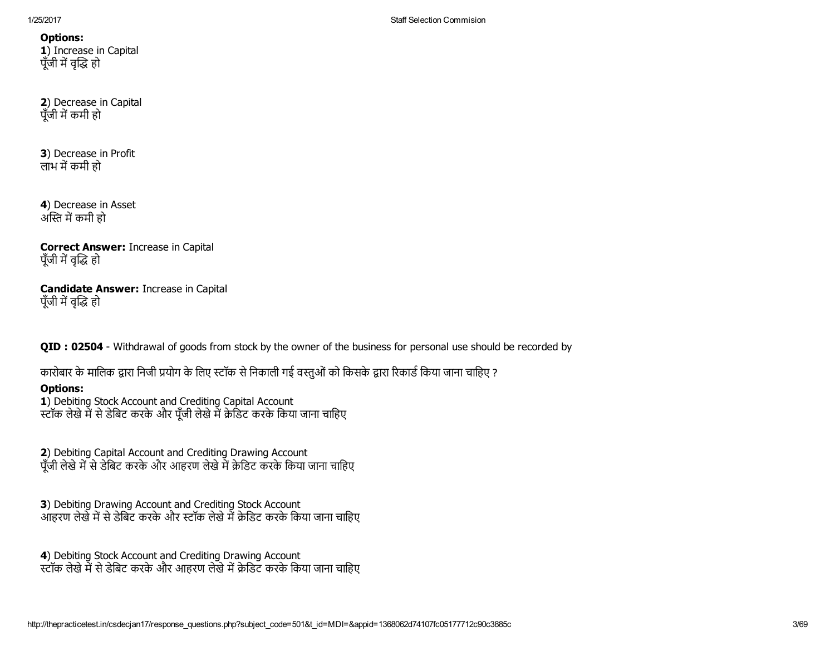1/25/2017 Staff Selection Commision

Options: 1) Increase in Capital पूँजी में वृद्धि हो

2) Decrease in Capital पँजी में कमी हो

3) Decrease in Profit लाभ में कमी हो

4) Decrease in Asset अस्ति में कमी हो

Correct Answer: Increase in Capital पूँजी में वृद्धि हो

Candidate Answer: Increase in Capital पूँजी में वृद्धि हो

QID : 02504 - Withdrawal of goods from stock by the owner of the business for personal use should be recorded by

कारोबार के मालिक द्वारा निजी प्रयोग के लिए स्टॉक से निकाली गई वस्तुओं को किसके द्वारा रिकार्ड किया जाना चाहिए ?

# Options:

1) Debiting Stock Account and Crediting Capital Account स्टॉक लेखे में से डेबिट करके और पूँजी लेखे में क्रेडिट करके किया जाना चाहिए

2) Debiting Capital Account and Crediting Drawing Account पूँजी लेखे में से डेबिट करके और आहरण लेखे में क्रेडिट करके किया जाना चाहिए

3) Debiting Drawing Account and Crediting Stock Account आहरण लेखें में से डेबिट करके और स्टॉक लेखे में क्रेडिट करके किया जाना चाहिए

4) Debiting Stock Account and Crediting Drawing Account ्स्टॉक लेखे में से डेबिट करके और आहरण लेखे में क्रेडिट करके किया जाना चाहिए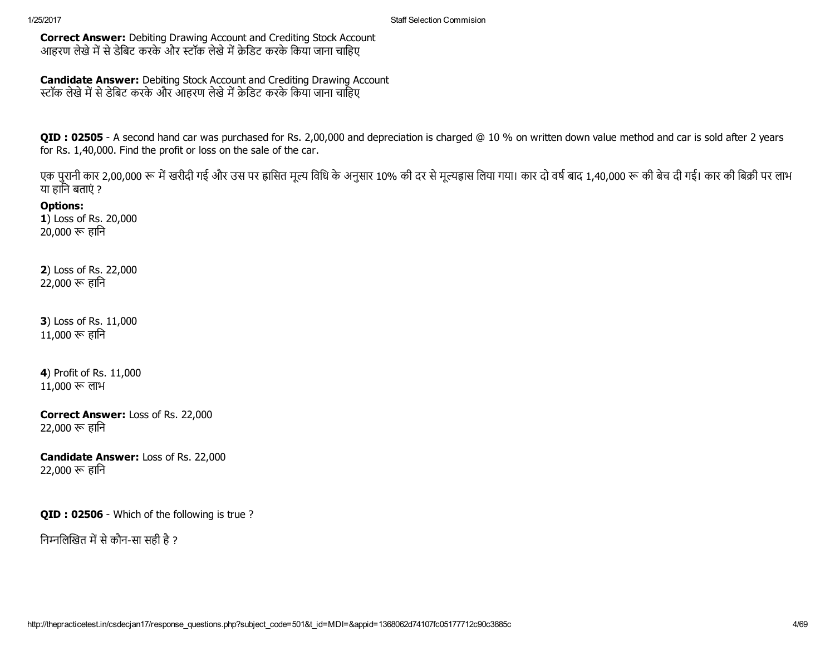Correct Answer: Debiting Drawing Account and Crediting Stock Account आहरण लेखे में से डेबिट करके और स्टॉक लेखे में क्रेडिट करके किया जाना चाहिए

Candidate Answer: Debiting Stock Account and Crediting Drawing Account स्टॉक लेखे में से डेबिट करके और आहरण लेखे में क्रेडिट करके किया जाना चाहिए

QID : 02505 - A second hand car was purchased for Rs. 2,00,000 and depreciation is charged @ 10 % on written down value method and car is sold after 2 years for Rs. 1,40,000. Find the profit or loss on the sale of the car.

एक पुरानी कार 2,00,000 रू में खरीदी गई और उस पर ह्रासित मूल्य विधि के अनुसार 10% की दर से मूल्यह्रास लिया गया। कार दो वर्ष बाद 1,40,000 रू की बेच दी गई। कार की बिक्री पर लाभ या हािन बताएं ?

Options: 1) Loss of Rs. 20,000  $20,000$  रू हानि

2) Loss of Rs. 22,000 22,000 हािन

3) Loss of Rs. 11,000  $11,000$  रू हानि

4) Profit of Rs. 11,000 11,000 लाभ

Correct Answer: Loss of Rs. 22,000 22,000 हािन

Candidate Answer: Loss of Rs. 22,000 22,000 हािन

QID : 02506 - Which of the following is true?

निम्नलिखित में से कौन-सा सही है ?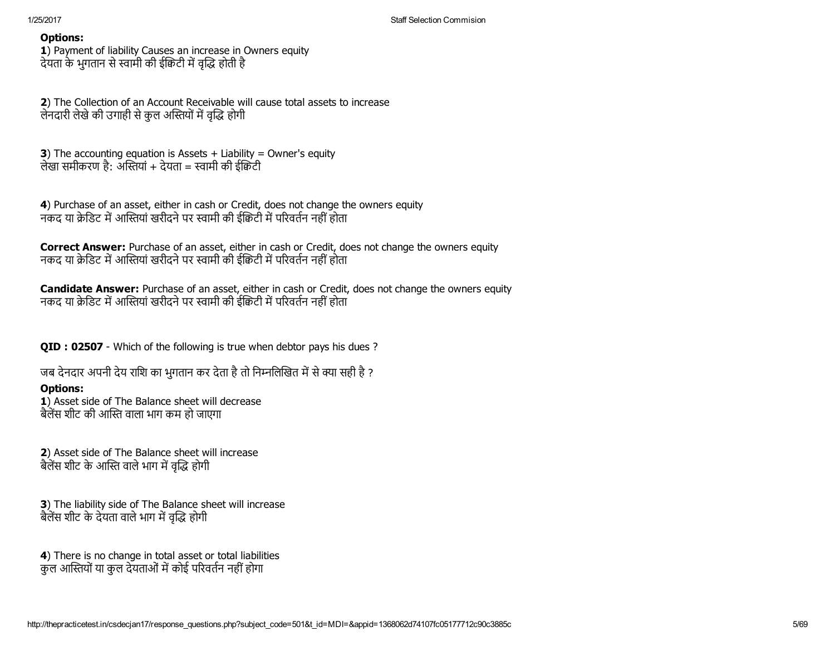1) Payment of liability Causes an increase in Owners equity देयता के भुगतान से स्वामी की ईक्विटी में वृद्धि होती है

2) The Collection of an Account Receivable will cause total assets to increase लेनदारी लेखे की उगाही से कुल अस्तियों में वृद्धि होगी

**3**) The accounting equation is Assets  $+$  Liability = Owner's equity लेखा समीकरण है: अस्तियां + देयता = स्वामी की ईक्विटी

4) Purchase of an asset, either in cash or Credit, does not change the owners equity नकद या क्रेडिट में आस्तियां खरीदने पर स्वामी की ईक्रिटी में परिवर्तन नहीं होता

**Correct Answer:** Purchase of an asset, either in cash or Credit, does not change the owners equity नकद या क्रेडिट में आस्तियां खरीदने पर स्वामी की ईक्रिटी में परिवर्तन नहीं होता

**Candidate Answer:** Purchase of an asset, either in cash or Credit, does not change the owners equity नकद या क्रेडिट में आस्तियां खरीदने पर स्वामी की ईक्रिटी में परिवर्तन नहीं होता

QID : 02507 - Which of the following is true when debtor pays his dues ?

जब देनदार अपनी देय राशि का भुगतान कर देता है तो निम्नलिखित में से क्या सही है ?

# Options:

1) Asset side of The Balance sheet will decrease बैलेंस शीट की आस्ति वाला भाग कम हो जाएगा

2) Asset side of The Balance sheet will increase बैलेंस शीट के आस्ति वाले भाग में वृद्धि होगी

3) The liability side of The Balance sheet will increase बैलेंस शीट के देयता वाले भाग में वृद्धि होगी

4) There is no change in total asset or total liabilities कुल आस्तियों या कुल देयताओं में कोई परिवर्तन नहीं होगा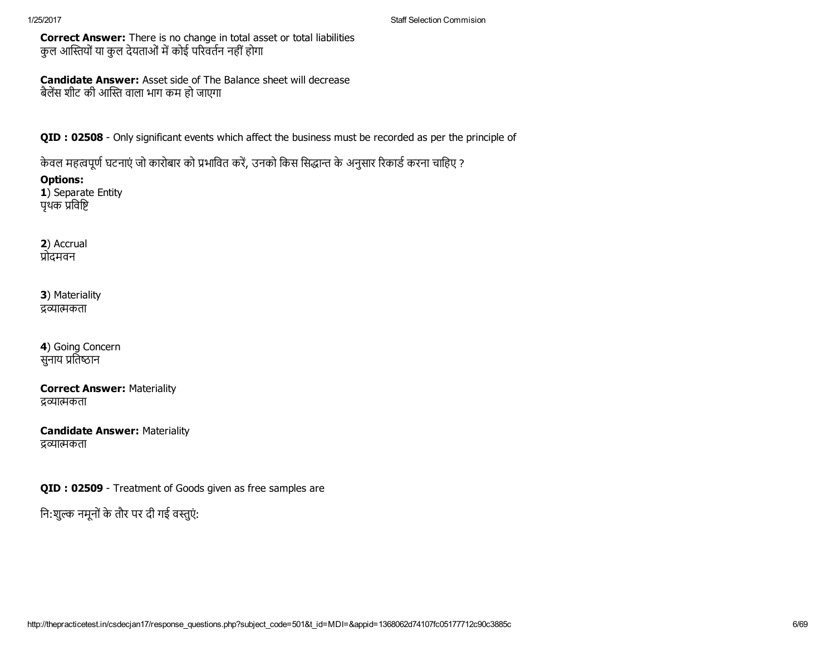Correct Answer: There is no change in total asset or total liabilities कुल आस्तियों या कुल देयताओं में कोई परिवर्तन नहीं होगा

Candidate Answer: Asset side of The Balance sheet will decrease बैलेंस शीट की आस्ति वाला भाग कम हो जाएगा

QID : 02508 - Only significant events which affect the business must be recorded as per the principle of

केवल महत्वपूर्ण घटनाएं जो कारोबार को प्रभावित करें, उनको किस सिद्धान्त के अनुसार रिकार्ड करना चाहिए ?

Options: 1) Separate Entity

पृथक प्रविष्टि

2) Accrual प्रोदमवन

3) Materiality द्रव्यात्मकता

4) Going Concern सुनाय प्रतिष्ठान

Correct Answer: Materiality द्रव्यात्मकता

Candidate Answer: Materiality द्रव्यात्मकता

QID : 02509 - Treatment of Goods given as free samples are

नि:शुल्क नमूनों के तौर पर दी गई वस्तुएं: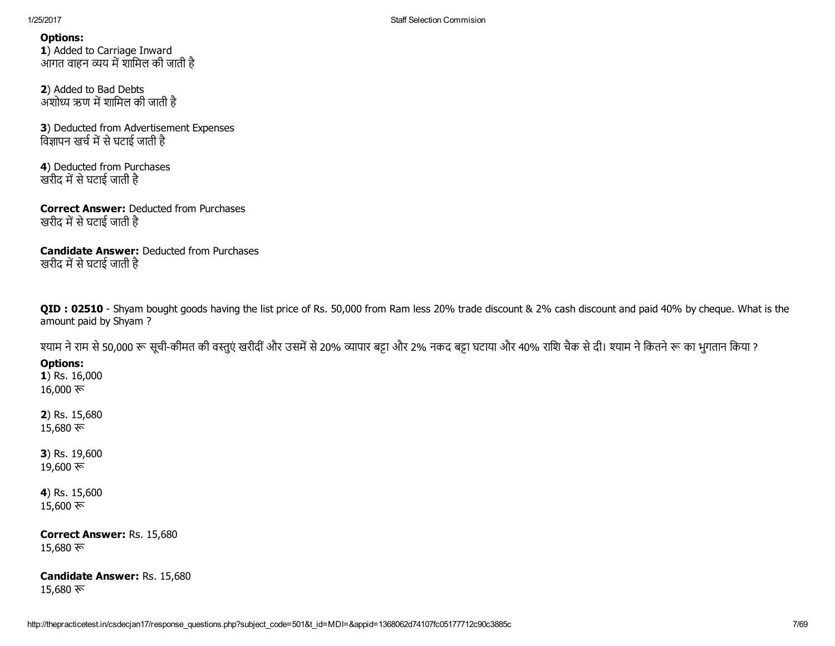1/25/2017 Staff Selection Commision

Options:

1) Added to Carriage Inward आगत वाहन व्यय में शामिल की जाती है

2) Added to Bad Debts अशोध्य ऋण में शामिल की जाती है

3) Deducted from Advertisement Expenses विज्ञापन खर्च में से घटाई जाती है

4) Deducted from Purchases खरीद में से घटाई जाती है

Correct Answer: Deducted from Purchases खरीद में से घटाई जाती है

Candidate Answer: Deducted from Purchases खरीद में से घटाई जाती है

QID : 02510 - Shyam bought goods having the list price of Rs. 50,000 from Ram less 20% trade discount & 2% cash discount and paid 40% by cheque. What is the amount paid by Shyam ?

श्याम ने राम से 50,000 रू सूची-कीमत की वस्तुएं खरीदीं और उसमें से 20% व्यापार बट्टा और 2% नकद बट्टा घटाया और 40% राशि चैक से दी। श्याम ने कितने रू का भुगतान किया ?

# Options:

1) Rs. 16,000 16,000 रू

2) Rs. 15,680 15,680 रू

3) Rs. 19,600  $19,600 \; \overline{\mathcal{R}}$ 

4) Rs. 15,600  $15,600 \; \text{ft}$ 

Correct Answer: Rs. 15,680 15,680 ফ

Candidate Answer: Rs. 15,680 15,680 ফ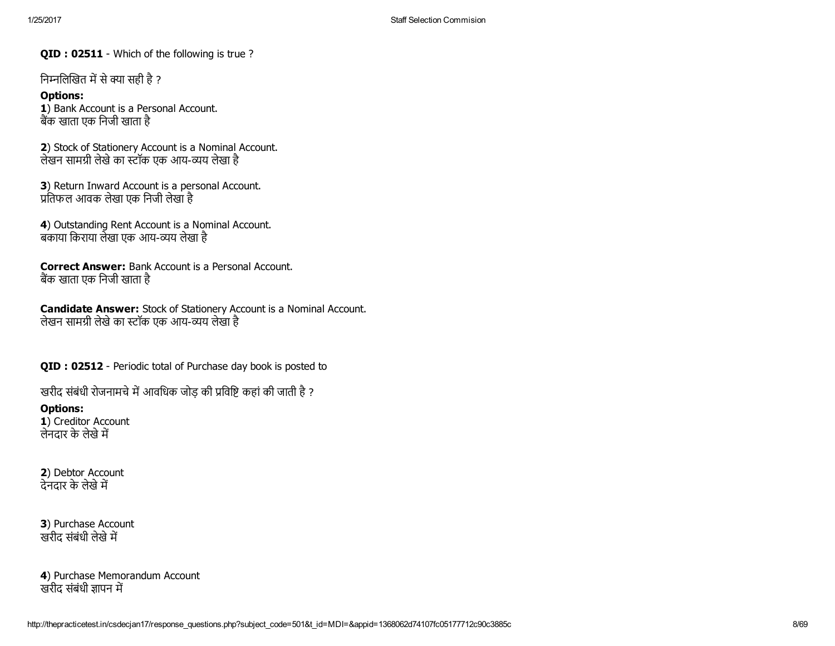QID : 02511 - Which of the following is true?

निम्नलिखित में से क्या सही है ?

Options: 1) Bank Account is a Personal Account. बैंक खाता एक निजी खाता है

2) Stock of Stationery Account is a Nominal Account. लेखन सामग्री लेखे का स्टॉक एक आय-व्यय लेखा है

3) Return Inward Account is a personal Account. 酀ितफल आवक लेखा एक िनजी लेखा है

4) Outstanding Rent Account is a Nominal Account. बकाया किराया लेखा एक आय-व्यय लेखा है

Correct Answer: Bank Account is a Personal Account. बक खाता एक िनजी खाता है

Candidate Answer: Stock of Stationery Account is a Nominal Account. लेखन सामग्री लेखे का स्टॉक एक आय-व्यय लेखा है

QID : 02512 - Periodic total of Purchase day book is posted to

खरीद संबंधी रोजनामचे में आवधिक जोड़ की प्रविष्टि कहां की जाती है ?

## Options:

1) Creditor Account लेनदार के लेखे में

2) Debtor Account ्<br>देनदार के लेखे में

3) Purchase Account खरीद संबंधी लेखे में

4) Purchase Memorandum Account खरीद संबंधी ज्ञापन में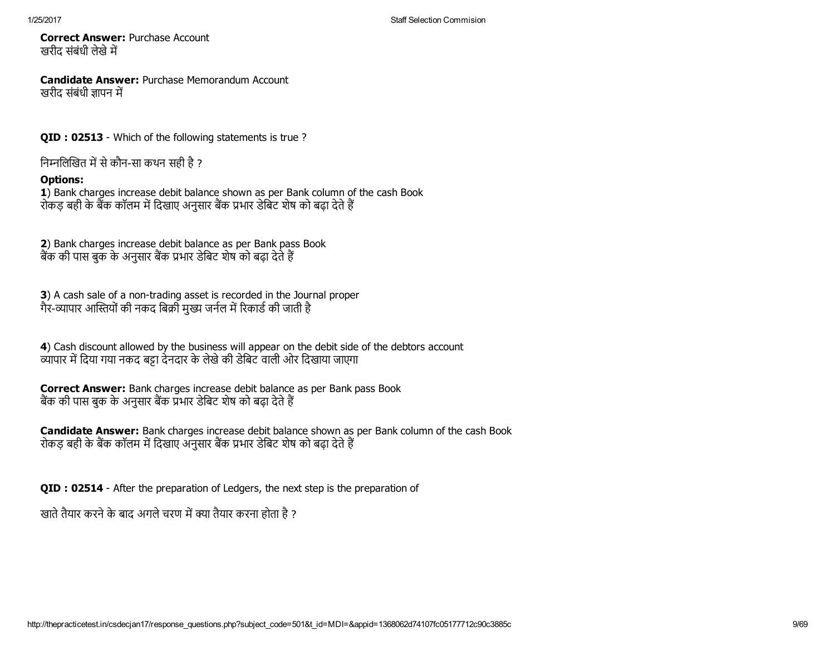Correct Answer: Purchase Account खरीद संबंधी लेखे में

Candidate Answer: Purchase Memorandum Account खरीद संबंधी ज्ञापन में

QID : 02513 - Which of the following statements is true?

निम्नलिखित में से कौन-सा कथन सही है ?

## Options:

1) Bank charges increase debit balance shown as per Bank column of the cash Book रोकड़ बही के बैंक कॉलम में दिखाए अनुसार बैंक प्रभार डेबिट शेष को बढ़ा देते हैं

2) Bank charges increase debit balance as per Bank pass Book बैंक की पास बुक के अनुसार बैंक प्रभार डेबिट शेष को बढ़ा देते हैं

3) A cash sale of a non-trading asset is recorded in the Journal proper गैर-व्यापार आस्तियों की नकद बिक्री मुख्य जर्नल में रिकार्ड की जाती है

4) Cash discount allowed by the business will appear on the debit side of the debtors account <u>त्यापार में दिया गया नकद बड़ा देनदार के लेखे की डेबिट वाली ओर दिखाया जाएगा</u>

Correct Answer: Bank charges increase debit balance as per Bank pass Book बैंक की पास बुक के अनुसार बैंक प्रभार डेबिट शेष को बढ़ा देते हैं

Candidate Answer: Bank charges increase debit balance shown as per Bank column of the cash Book रोकड़ बही के बैंक कॉलम में दिखाए अनुसार बैंक प्रभार डेबिट शेष को बढ़ा देते हैं

QID : 02514 After the preparation of Ledgers, the next step is the preparation of

खाते तैयार करने के बाद अगले चरण में क्या तैयार करना होता है ?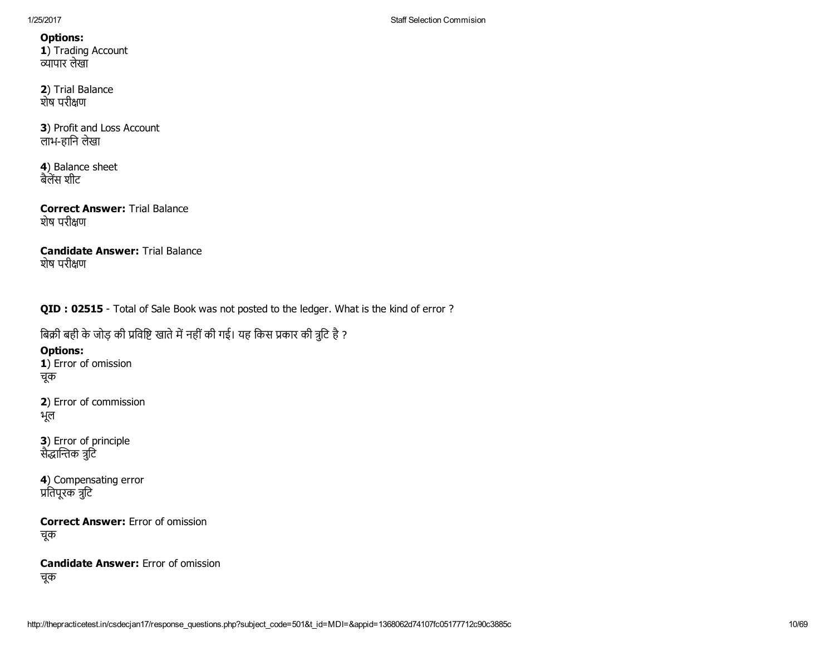1) Trading Account Āयापार लेखा

2) Trial Balance शेष परीण

3) Profit and Loss Account लाभहािन लेखा

4) Balance sheet बैलेंस शीट

Correct Answer: Trial Balance शेष परीण

Candidate Answer: Trial Balance शेष परीण

QID : 02515 - Total of Sale Book was not posted to the ledger. What is the kind of error ?

बिक्री बही के जोड़ की प्रविष्टि खाते में नहीं की गई। यह किस प्रकार की त्रूटि है ?

Options:

1) Error of omission चूक

2) Error of commission भूल

3) Error of principle सैद्धान्तिक त्रूटि

4) Compensating error प्रतिपूरक त्रुटि

Correct Answer: Error of omission चूक

Candidate Answer: Error of omission चूक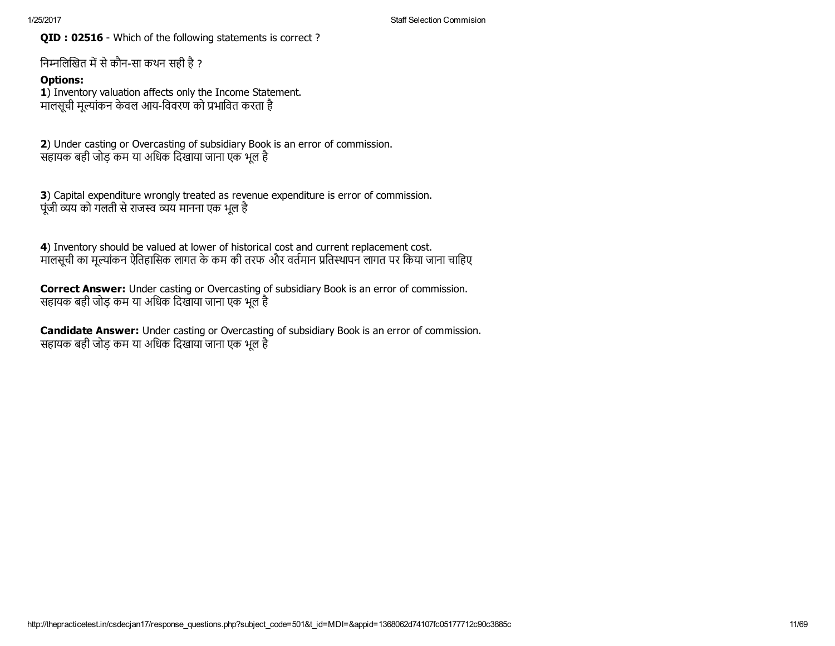QID : 02516 - Which of the following statements is correct?

निम्नलिखित में से कौन-सा कथन सही है ?

# Options:

1) Inventory valuation affects only the Income Statement. मालसूची मूल्यांकन केवल आय-विवरण को प्रभावित करता है

2) Under casting or Overcasting of subsidiary Book is an error of commission. सहायक बही जोड़ कम या अिधक िदखाया जाना एक भूल है

3) Capital expenditure wrongly treated as revenue expenditure is error of commission. पूंजी व्यय को गलती से राजस्व व्यय मानना एक भूल है

4) Inventory should be valued at lower of historical cost and current replacement cost. मालसूची का मूल्यांकन ऐतिहासिक लागत के कम की तरफ और वर्तमान प्रतिस्थापन लागत पर किया जाना चाहिए

Correct Answer: Under casting or Overcasting of subsidiary Book is an error of commission. सहायक बही जोड़ कम या अिधक िदखाया जाना एक भूल है

Candidate Answer: Under casting or Overcasting of subsidiary Book is an error of commission. सहायक बही जोड़ कम या अधिक दिखाया जाना एक भूल है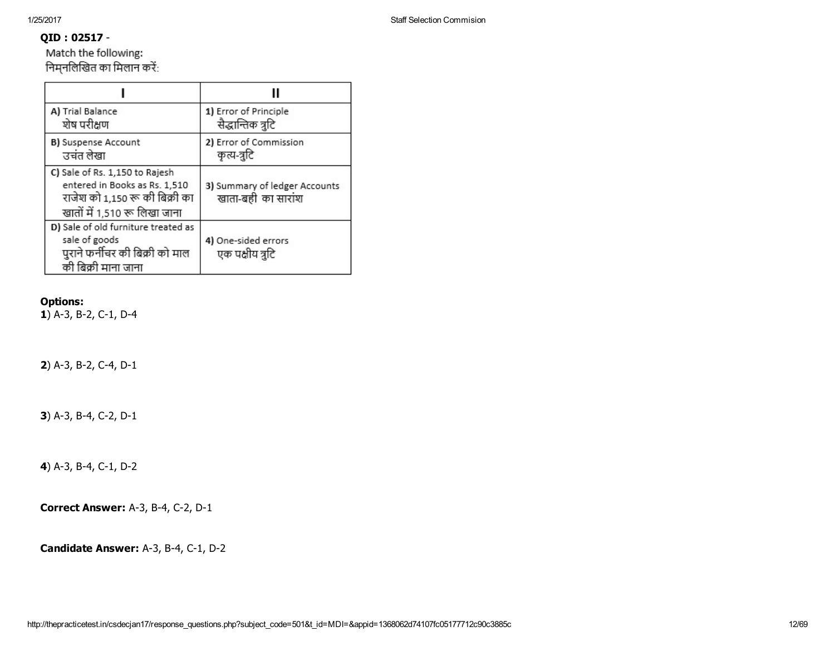# QID : 02517

Match the following: निम्नलिखित का मिलान करें:

| A) Trial Balance<br>शेष परीक्षण                                                                                                   | 1) Error of Principle<br>सैद्धान्तिक त्रुटि         |
|-----------------------------------------------------------------------------------------------------------------------------------|-----------------------------------------------------|
| B) Suspense Account<br>उचंत लेखा                                                                                                  | 2) Error of Commission<br>कृत्य-त्रुटि              |
| C) Sale of Rs. 1,150 to Rajesh<br>entered in Books as Rs. 1,510<br>राजेश को 1,150 रू की बिक्री का<br>खातों में 1,510 रू लिखा जाना | 3) Summary of ledger Accounts<br>खाता-बही का सारांश |
| D) Sale of old furniture treated as<br>sale of goods<br>पुराने फर्नीचर की बिक्री को माल<br>की बिक्री माना जाना                    | 4) One-sided errors<br>एक पक्षीय त्रुटि             |

# Options:

 $1)$  A-3, B-2, C-1, D-4

2) A-3, B-2, C-4, D-1

3) A-3, B-4, C-2, D-1

4) A-3, B-4, C-1, D-2

**Correct Answer: A-3, B-4, C-2, D-1** 

Candidate Answer: A-3, B-4, C-1, D-2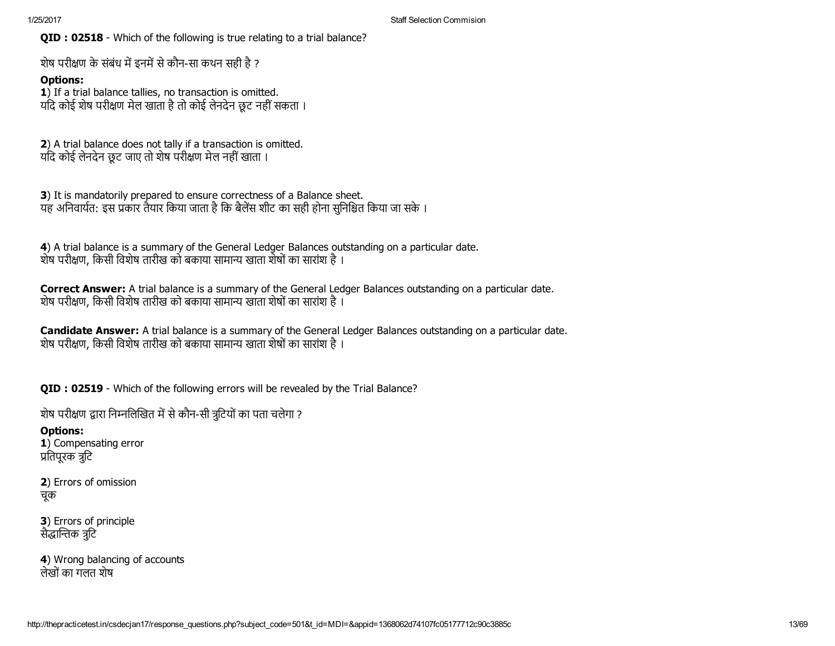QID : 02518 - Which of the following is true relating to a trial balance?

शेष परीक्षण के संबंध में इनमें से कौन-सा कथन सही है ?

# Options:

1) If a trial balance tallies, no transaction is omitted. यदि कोई शेष परीक्षण मेल खाता है तो कोई लेनदेन छूट नहीं सकता ।

2) A trial balance does not tally if a transaction is omitted. यिद कोई लेनदेन छूट जाए तो शेष परीण मेल नहींखाता ।

3) It is mandatorily prepared to ensure correctness of a Balance sheet. यह अनिवार्यत: इस प्रकार तैयार किया जाता है कि बैलेंस शीट का सही होना सनिश्चित किया जा सके ।

4) A trial balance is a summary of the General Ledger Balances outstanding on a particular date. शेष परीक्षण, किसी विशेष तारीख को बकाया सामान्य खाता शेषों का सारांश है ।

Correct Answer: A trial balance is a summary of the General Ledger Balances outstanding on a particular date. शेष परीक्षण, किसी विशेष तारीख को बकाया सामान्य खाता शेषों का सारांश है।

Candidate Answer: A trial balance is a summary of the General Ledger Balances outstanding on a particular date. शेष परीक्षण, किसी विशेष तारीख को बकाया सामान्य खाता शेषों का सारांश है ।

QID : 02519 - Which of the following errors will be revealed by the Trial Balance?

शेष परीक्षण द्वारा निम्नलिखित में से कौन-सी त्रूटियों का पता चलेगा ?

Options: 1) Compensating error प्रतिपरक त्रटि

2) Errors of omission चूक

3) Errors of principle सैद्धान्तिक त्रूटि

4) Wrong balancing of accounts लेखोंका गलत शेष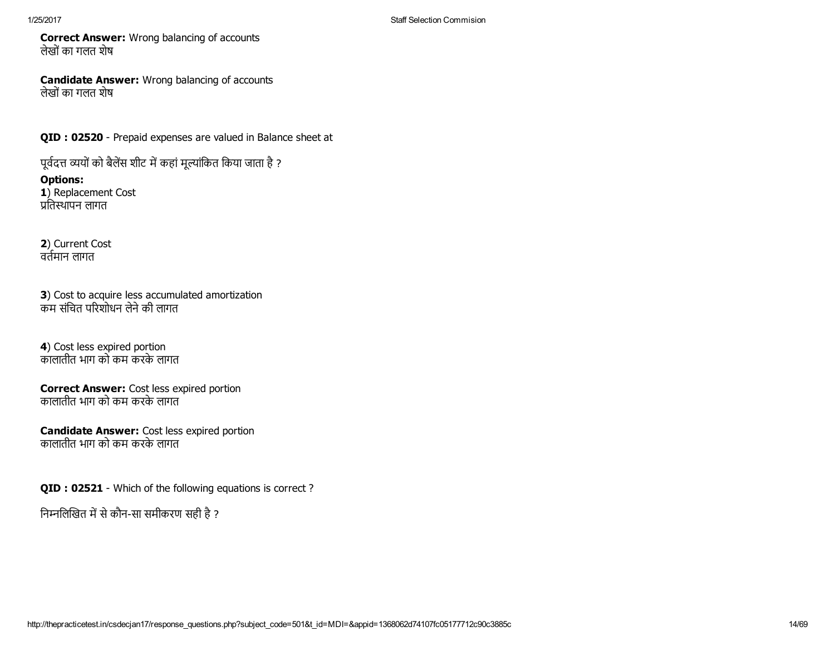Correct Answer: Wrong balancing of accounts लेखोंका गलत शेष

Candidate Answer: Wrong balancing of accounts लेखोंका गलत शेष

QID : 02520 - Prepaid expenses are valued in Balance sheet at

पूर्वदत्त व्ययों को बैलेंस शीट में कहां मूल्यांकित किया जाता है ?

Options: 1) Replacement Cost प्रतिस्थापन लागत

2) Current Cost वर्तमान लागत

3) Cost to acquire less accumulated amortization कम सिंचत परशोधन लेनेकी लागत

4) Cost less expired portion कालातीत भाग को कम करके लागत

Correct Answer: Cost less expired portion कालातीत भाग को कम करके लागत

Candidate Answer: Cost less expired portion कालातीत भाग को कम करके लागत

QID : 02521 - Which of the following equations is correct?

निम्नलिखित में से कौन-सा समीकरण सही है ?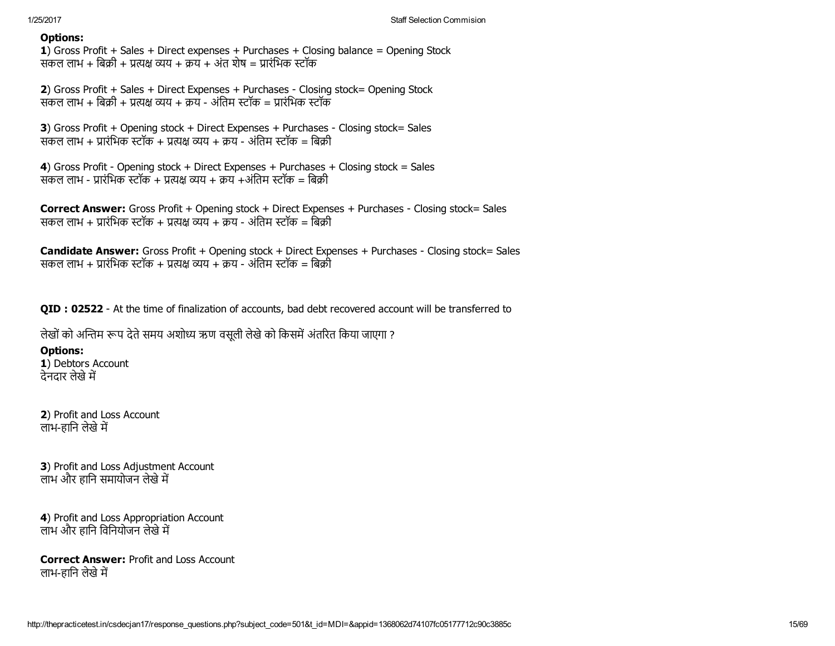1) Gross Profit + Sales + Direct expenses + Purchases + Closing balance = Opening Stock सकल लाभ + बिक्री + प्रत्यक्ष व्यय + क्रय + अंत शेष = प्रारंभिक स्टॉक

2) Gross Profit + Sales + Direct Expenses + Purchases - Closing stock= Opening Stock संकल लाभ + बिक्री + प्रत्यक्ष व्यय + क्रय - अंतिम स्टॉक = प्रारंभिक स्टॉक

3) Gross Profit + Opening stock + Direct Expenses + Purchases - Closing stock= Sales सकल लाभ + प्रारंभिक स्टॉक + प्रत्यक्ष व्यय + क्रय - अंतिम स्टॉक = बिक्री

4) Gross Profit - Opening stock + Direct Expenses + Purchases + Closing stock = Sales संकल लाभ - प्रारंभिक स्टॉक + प्रत्यक्ष व्यय + क्रय +अंतिम स्टॉक = बिक्री

Correct Answer: Gross Profit + Opening stock + Direct Expenses + Purchases - Closing stock= Sales सकल लाभ + प्रारंभिक स्टॉक + प्रत्यक्ष व्यय + क्रय - अंतिम स्टॉक = बिक्री

Candidate Answer: Gross Profit + Opening stock + Direct Expenses + Purchases - Closing stock= Sales सकल लाभ + पारंभिक स्टॉक + पत्यक्ष व्यय + कय - अंतिम स्टॉक = बिकी

QID : 02522 - At the time of finalization of accounts, bad debt recovered account will be transferred to

लेखों को अन्तिम रूप देते समय अशोध्य ऋण वसूली लेखे को किसमें अंतरित किया जाएगा ?

# Options:

1) Debtors Account देनदार लेखे में

2) Profit and Loss Account लाभ-हानि लेखे में

3) Profit and Loss Adjustment Account लाभ और हानि समायोजन लेखे में

4) Profit and Loss Appropriation Account लाभ और हानि विनियोजन लेखे में

Correct Answer: Profit and Loss Account लाभ-हानि लेखे में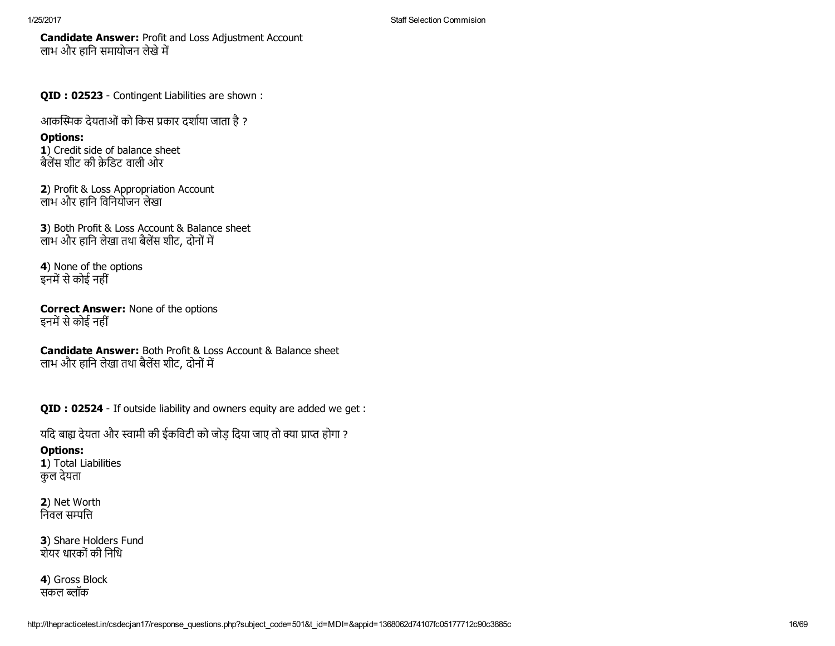Candidate Answer: Profit and Loss Adjustment Account लाभ और हानि समायोजन लेखे में

QID : 02523 - Contingent Liabilities are shown :

आकस्मिक देयताओं को किस प्रकार दर्शाया जाता है ?

Options: 1) Credit side of balance sheet

बैलेंस शीट की क्रेडिट वाली ओर

2) Profit & Loss Appropriation Account लाभ और हािन िविनयोजन लेखा

3) Both Profit & Loss Account & Balance sheet लाभ और हानि लेखा तथा बैलेंस शीट, दोनों में

4) None of the options इनमें से कोई नहीं

Correct Answer: None of the options इनमें से कोई नहीं

Candidate Answer: Both Profit & Loss Account & Balance sheet लाभ और हानि लेखा तथा बैलेंस शीट, दोनों में

QID : 02524 - If outside liability and owners equity are added we get :

यदि बाह्य देयता और स्वामी की ईकविटी को जोड़ दिया जाए तो क्या प्राप्त होगा ?

# Options:

1) Total Liabilities कुल देयता

2) Net Worth निवल सम्पत्ति

3) Share Holders Fund शेयर धारकोंकी िनिध

4) Gross Block संकल ब्लॉक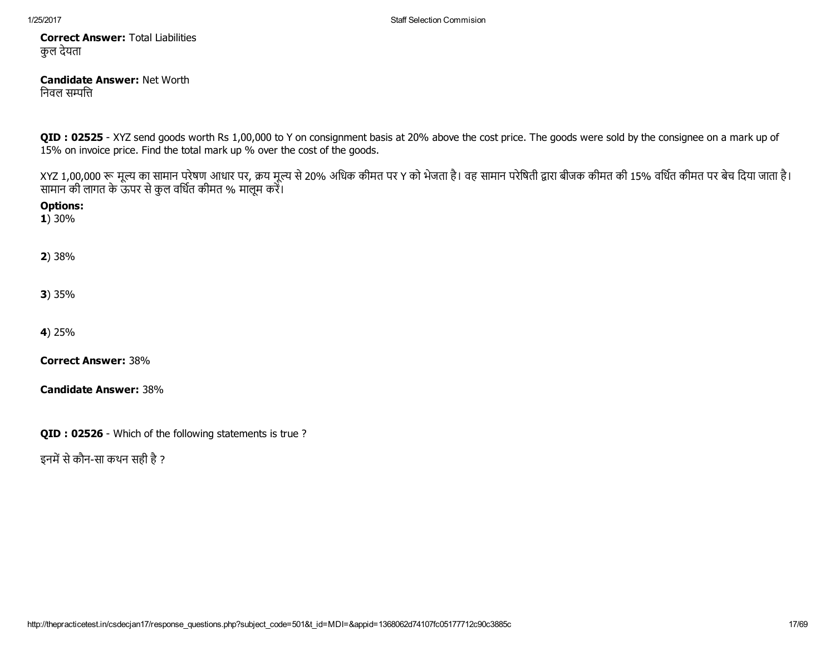Correct Answer: Total Liabilities कुल देयता

#### Candidate Answer: Net Worth निवल सम्पत्ति

QID : 02525 - XYZ send goods worth Rs 1,00,000 to Y on consignment basis at 20% above the cost price. The goods were sold by the consignee on a mark up of 15% on invoice price. Find the total mark up % over the cost of the goods.

XYZ 1,00,000 रू मूल्य का सामान परेषण आधार पर, क्रय मूल्य से 20% अधिक कीमत पर Y को भेजता है। वह सामान परीबेती द्वारा बीजक कीमत की 15% वर्धित कीमत पर बेच दिया जाता है। सामान की लागत के ऊपर से कुल वर्धित कीमत % मालूम करें।

Options:

1) 30%

2) 38%

3) 35%

4) 25%

Correct Answer: 38%

Candidate Answer: 38%

QID : 02526 - Which of the following statements is true ?

इनमें से कौन-सा कथन सही है ?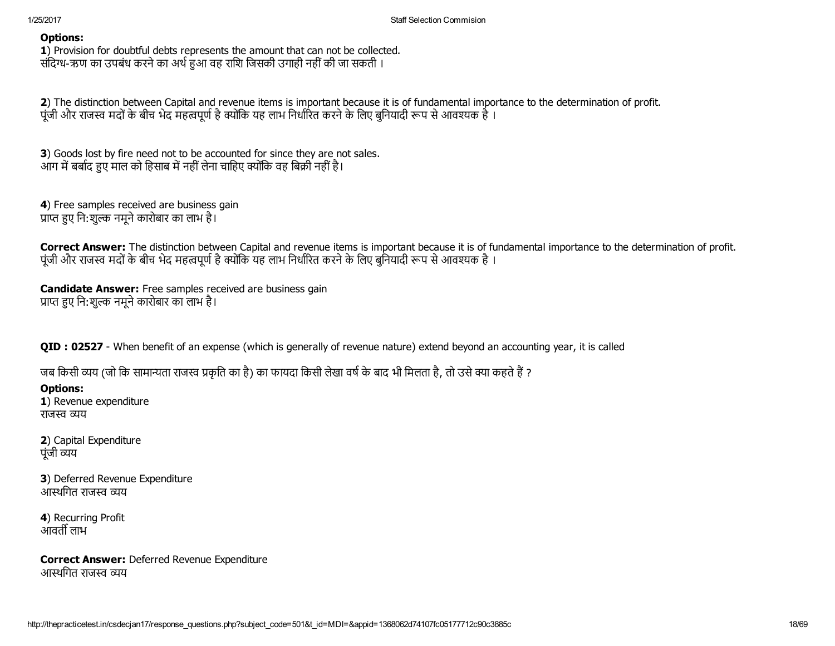1) Provision for doubtful debts represents the amount that can not be collected. संदिग्ध-ऋण का उपबंध करने का अर्थ हुआ वह राशि जिसकी उगाही नहीं की जा सकती ।

2) The distinction between Capital and revenue items is important because it is of fundamental importance to the determination of profit. पूंजी और राजस्व मदों के बीच भेद महत्वपूर्ण है क्योंकि यह लाभ निर्धारित करने के लिए बुनियादी रूप से आवश्यक है ।

3) Goods lost by fire need not to be accounted for since they are not sales. आग में बर्बाद हुए माल को हिसाब में नहीं लेना चाहिए क्योंकि वह बिक्री नहीं है।

4) Free samples received are business gain प्राप्त हुए नि:शुल्क नमूने कारोबार का लाभ है।

Correct Answer: The distinction between Capital and revenue items is important because it is of fundamental importance to the determination of profit. पूंजी और राजस्व मदों के बीच भेद महत्वपूर्ण है क्योंकि यह लाभ निर्धारित करने के लिए बुनियादी रूप से आवश्यक है।

Candidate Answer: Free samples received are business gain प्राप्त हुए नि:शुल्क नमूने कारोबार का लाभ है।

QID : 02527 When benefit of an expense (which is generally of revenue nature) extend beyond an accounting year, it is called

जब किसी व्यय (जो कि सामान्यता राजस्व प्रकृति का है) का फायदा किसी लेखा वर्ष के बाद भी मिलता है, तो उसे क्या कहते हैं ?

## Options:

1) Revenue expenditure राजस्व व्यय

2) Capital Expenditure पंजी व्यय

3) Deferred Revenue Expenditure ्<br>आस्थगित राजस्व व्यय

4) Recurring Profit आवर्ती लाभ

Correct Answer: Deferred Revenue Expenditure आस्थगित राजस्व व्यय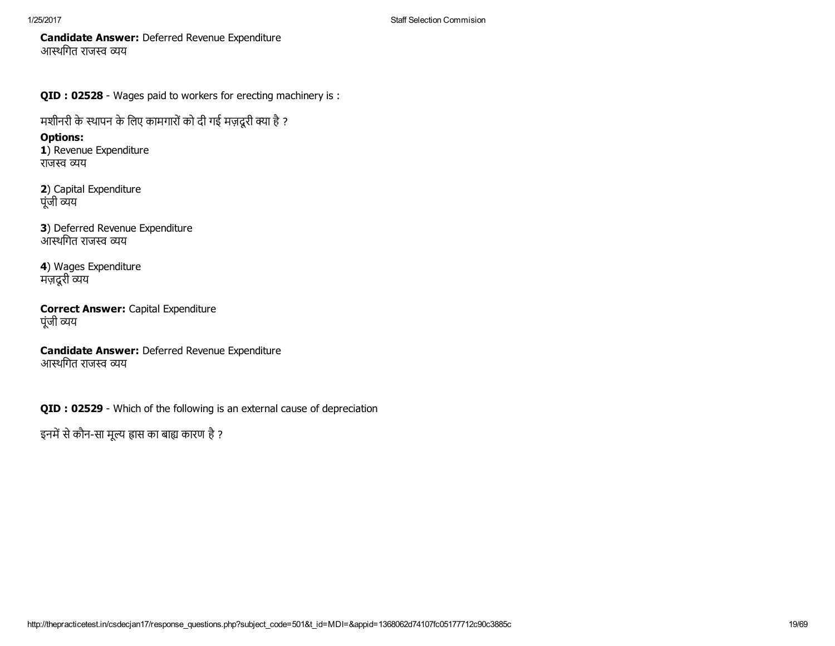Candidate Answer: Deferred Revenue Expenditure आस्थगित राजस्व व्यय

QID : 02528 - Wages paid to workers for erecting machinery is :

मशीनरी के स्थापन के लिए कामगारों को दी गई मज़दूरी क्या है ?

Options: 1) Revenue Expenditure राजस्व व्यय

2) Capital Expenditure पूंजी व्यय

3) Deferred Revenue Expenditure ्<br>आस्थगित राजस्व व्यय

4) Wages Expenditure मज़दूरी व्यय

Correct Answer: Capital Expenditure पूंजी व्यय

Candidate Answer: Deferred Revenue Expenditure आस्थगित राजस्व व्यय

QID : 02529 - Which of the following is an external cause of depreciation

इनमें से कौन-सा मूल्य ह्रास का बाह्य कारण है ?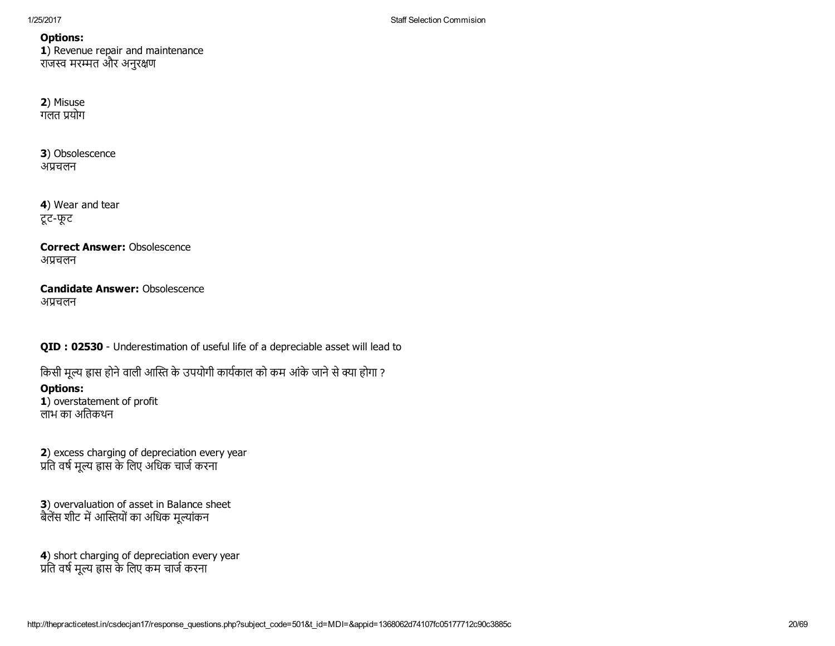1) Revenue repair and maintenance राजस्व मरम्मत और अनुरक्षण

#### 2) Misuse गलत 酀योग

3) Obsolescence अप्रचलन

4) Wear and tear टूट-फूट

Correct Answer: Obsolescence अ酀चलन

## Candidate Answer: Obsolescence अ酀चलन

QID : 02530 - Underestimation of useful life of a depreciable asset will lead to

किसी मूल्य ह्रास होने वाली आस्ति के उपयोगी कार्यकाल को कम आंके जाने से क्या होगा ?

Options: 1) overstatement of profit लाभ का अतिकथन

2) excess charging of depreciation every year प्रति वर्ष मूल्य ह्रास के लिए अधिक चार्ज करना

3) overvaluation of asset in Balance sheet बैलेंस शीट में आस्तियों का अधिक मूल्यांकन

4) short charging of depreciation every year प्रति वर्ष मूल्य ह्रास के लिए कम चार्ज करना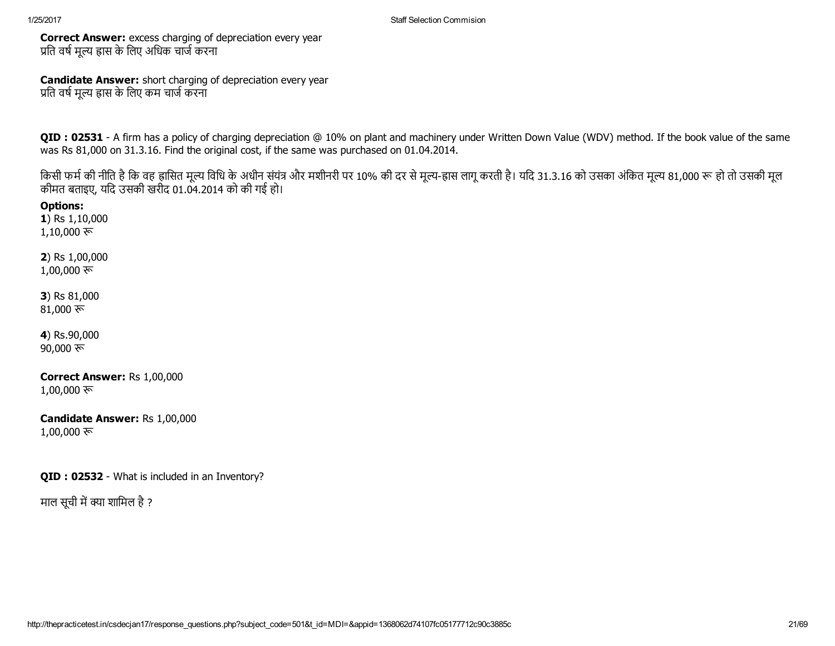Correct Answer: excess charging of depreciation every year प्रति वर्ष मूल्य ह्रास के लिए अधिक चार्ज करना

Candidate Answer: short charging of depreciation every year प्रति वर्ष मूल्य ह्रास के लिए कम चार्ज करना

QID : 02531 - A firm has a policy of charging depreciation @ 10% on plant and machinery under Written Down Value (WDV) method. If the book value of the same was Rs 81,000 on 31.3.16. Find the original cost, if the same was purchased on 01.04.2014.

किसी फर्म की नीति है कि वह ह्रासित मूल्य विधि के अधीन संयंत्र और मशीनरी पर 10% की दर से मूल्य-ह्रास लागू करती है। यदि 31.3.16 को उसका अंकित मूल्य 81,000 रू हो तो उसकी मूल कीमत बताइए, यिद उसकी खरीद 01.04.2014 को की गई हो।

Options: 1) Rs 1,10,000

1,10,000 रू

2) Rs 1,00,000 1,00,000 रू

3) Rs 81,000 81,000 $\overline{\mathcal{R}}$ 

4) Rs.90,000 90,000 $\overline{\mathcal{F}}$ 

Correct Answer: Rs 1,00,000 1,00,000 रू

Candidate Answer: Rs 1,00,000  $1,00,000$  रू

QID : 02532 - What is included in an Inventory?

माल सुची में क्या शामिल है ?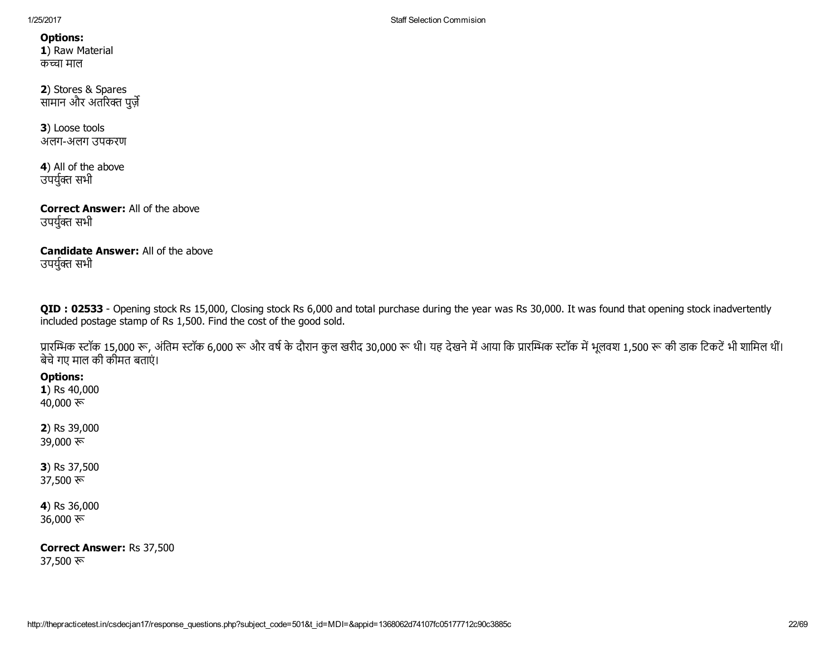1/25/2017 Staff Selection Commision

Options: 1) Raw Material कच्चा माल

2) Stores & Spares सामान और अतरिक्त पूर्ज़

3) Loose tools अलग-अलग उपकरण

4) All of the above उपर्युक्त सभी

Correct Answer: All of the above उपर्युक्त सभी

Candidate Answer: All of the above उपर्युक्त सभी

QID : 02533 - Opening stock Rs 15,000, Closing stock Rs 6,000 and total purchase during the year was Rs 30,000. It was found that opening stock inadvertently included postage stamp of Rs 1,500. Find the cost of the good sold.

प्रारम्भिक स्टॉक 15,000 रू, अंतिम स्टॉक 6,000 रू और वर्ष के दौरान कुल खरीद 30,000 रू थी। यह देखने में आया कि प्रारमिक स्टॉक में भूलवश 1,500 रू की डाक टिकटें भी शामिल थीं। बेचेगए माल की कीमत बताएं।

Options:

1) Rs 40,000 40,000 रू

2) Rs 39,000 39,000 रू

3) Rs 37,500 37,500 रू

4) Rs 36,000 36,000

Correct Answer: Rs 37,500 37,500 रू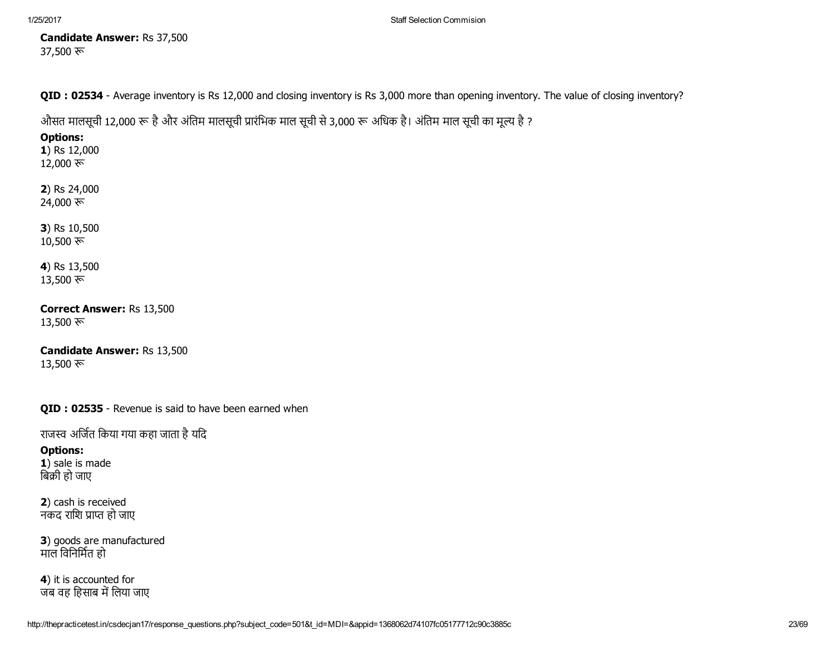Candidate Answer: Rs 37,500 37,500 रू

QID : 02534 - Average inventory is Rs 12,000 and closing inventory is Rs 3,000 more than opening inventory. The value of closing inventory?

औसत मालसूची 12,000 रू है और अंतिम मालसूची प्रारंभिक माल सूची से 3,000 रू अधिक है। अंतिम माल सूची का मूल्य है ?

# Options:

1) Rs 12,000 12,000 $\overline{\mathcal{F}}$ 

2) Rs 24,000 24,000 रू

3) Rs 10,500  $10,500 \; \text{F}$ 

4) Rs 13,500 13,500 रू

Correct Answer: Rs 13,500 13,500 रू

Candidate Answer: Rs 13,500 13,500 रू

QID : 02535 - Revenue is said to have been earned when

राजस्व अर्जित किया गया कहा जाता है यदि

# Options:

1) sale is made बिक्री हो जाए

2) cash is received नकद राशि प्राप्त हो जाए

3) goods are manufactured माल विनिर्मित हो

4) it is accounted for जब वह हिसाब में लिया जाए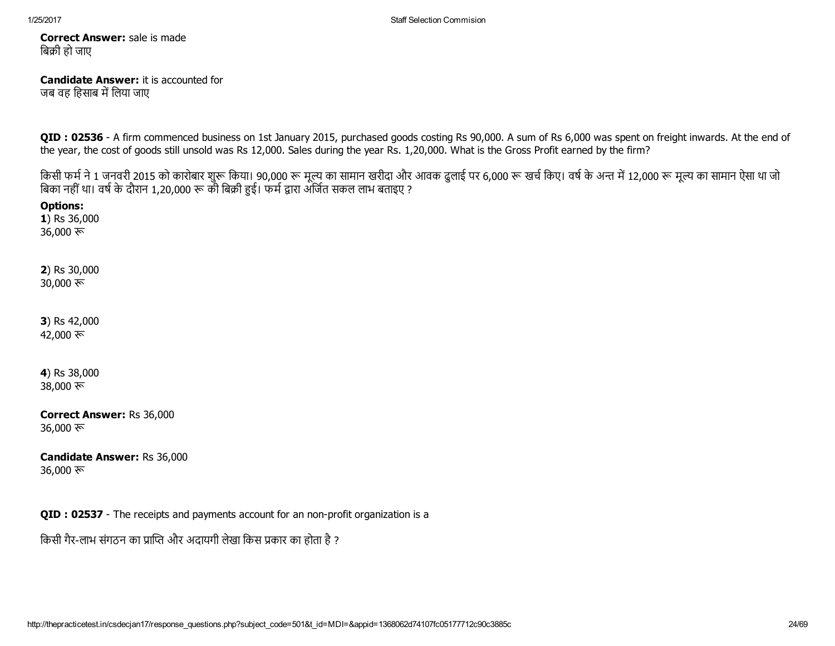Correct Answer: sale is made बिक्री हो जाए

### Candidate Answer: it is accounted for जब वह हिसाब में लिया जाए

QID : 02536 - A firm commenced business on 1st January 2015, purchased goods costing Rs 90,000. A sum of Rs 6,000 was spent on freight inwards. At the end of the year, the cost of goods still unsold was Rs 12,000. Sales during the year Rs. 1,20,000. What is the Gross Profit earned by the firm?

किसी फर्म ने 1 जनवरी 2015 को कारोबार शुरू किया। 90,000 रू मूल्य का सामान खरीदा और आवक ढुलाई पर 6,000 रू खर्च किए। वर्ष के अन्त में 12,000 रू मूल्य का सामान ऐसा था जो बिका नहीं था। वर्ष के दौरान 1,20,000 रू की बिक्री हुई। फर्म द्वारा अर्जित सकल लाभ बताइए ?

Options: 1) Rs 36,000

36,000

2) Rs 30,000 30,000 $\overline{\mathcal{F}}$ 

3) Rs 42,000 42,000 रू

4) Rs 38,000 38,000

Correct Answer: Rs 36,000 36,000 $\overline{\mathcal{F}}$ 

Candidate Answer: Rs 36,000 36,000 $\overline{\mathcal{F}}$ 

QID : 02537 - The receipts and payments account for an non-profit organization is a

किसी गैर-लाभ संगठन का प्राप्ति और अदायगी लेखा किस प्रकार का होता है ?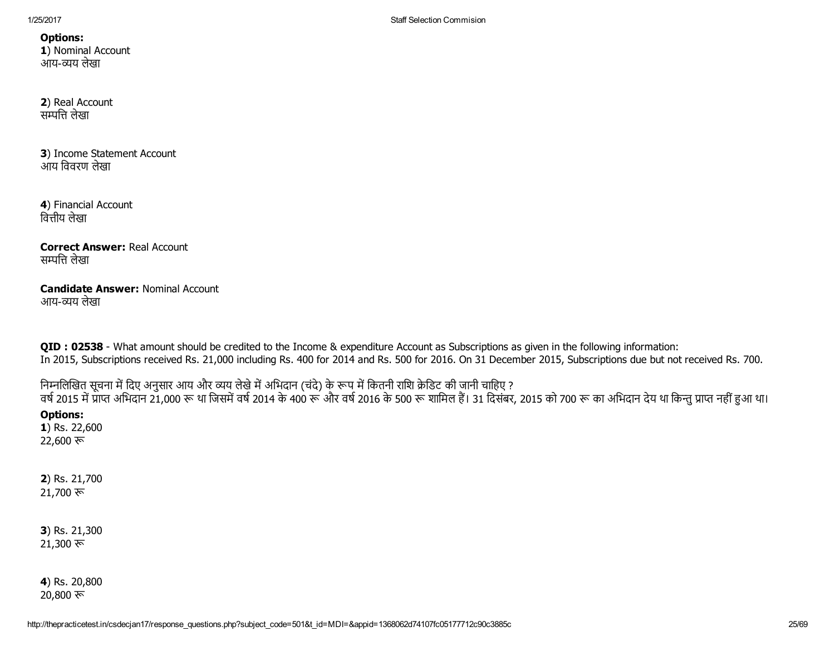1/25/2017 Staff Selection Commision

Options: 1) Nominal Account आय-व्यय लेखा

2) Real Account सम्पत्ति लेखा

3) Income Statement Account आय िववरण लेखा

4) Financial Account वित्तीय लेखा

Correct Answer: Real Account सम्पत्ति लेखा

## Candidate Answer: Nominal Account आय-व्यय लेखा

QID : 02538 - What amount should be credited to the Income & expenditure Account as Subscriptions as given in the following information: In 2015, Subscriptions received Rs. 21,000 including Rs. 400 for 2014 and Rs. 500 for 2016. On 31 December 2015, Subscriptions due but not received Rs. 700.

निम्नलिखित सूचना में दिए अनुसार आय और व्यय लेखे में अभिदान (चंदे) के रूप में कितनी राशि क्रेडिट की जानी चाहिए ? वर्ष 2015 में प्राप्त अभिदान 21,000 रू था जिसमें वर्ष 2014 के 400 रू और वर्ष 2016 के 500 रू शामिल हैं। 31 दिसंबर, 2015 को 700 रू का अभिदान देय था किन्तु प्राप्त नहीं हुआ था।

## Options:

1) Rs. 22,600 22,600 $\overline{\mathcal{F}}$ 

2) Rs. 21,700  $21,700$  रू

3) Rs. 21,300  $21,300$  रू

4) Rs. 20,800  $20,800 \; \overline{\mathcal{R}}$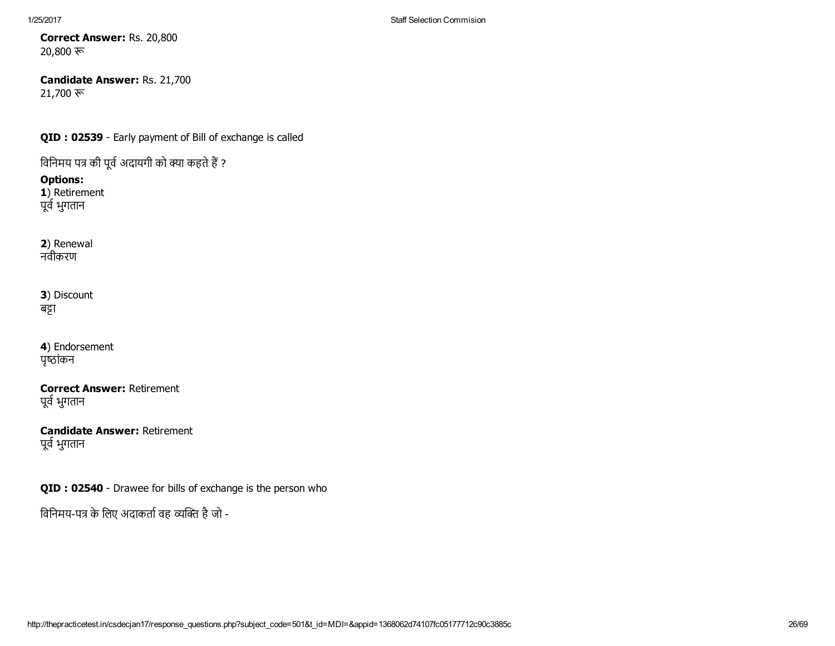Correct Answer: Rs. 20,800 20,800 रू

Candidate Answer: Rs. 21,700  $21,700$  रू

QID : 02539 - Early payment of Bill of exchange is called

विनिमय पत्र की पूर्व अदायगी को क्या कहते हैं ?

Options: 1) Retirement

पूर्व भुगतान

2) Renewal नवीकरण

3) Discount बट्टा

4) Endorsement पृष्ठांकन

Correct Answer: Retirement पूर्व भुगतान

Candidate Answer: Retirement पूर्व भुगतान

QID : 02540 - Drawee for bills of exchange is the person who

विनिमय-पत्र के लिए अदाकर्ता वह व्यक्ति है जो -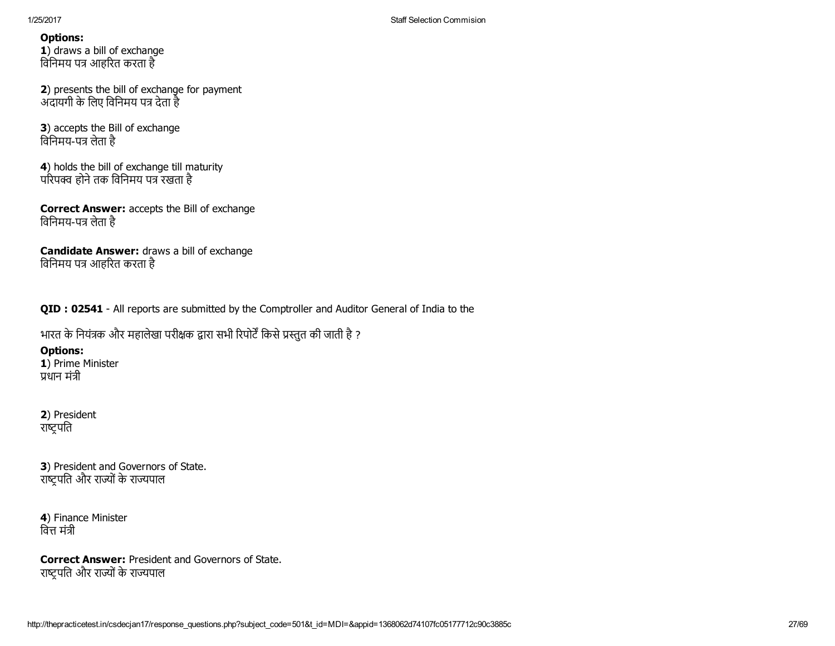1) draws a bill of exchange विनिमय पत्र आहरित करता है

2) presents the bill of exchange for payment अदायगी के लिए विनिमय पत्र देता है

3) accepts the Bill of exchange विनिमय-पत्र लेता है

4) holds the bill of exchange till maturity परिपक्व होने तक विनिमय पत्र रखता है

Correct Answer: accepts the Bill of exchange विनिमय-पत्र लेता है

Candidate Answer: draws a bill of exchange विनिमय पत्र आहरित करता है

QID : 02541 - All reports are submitted by the Comptroller and Auditor General of India to the

भारत के नियंत्रक और महालेखा परीक्षक द्वारा सभी रिपोर्टें किसे प्रस्तुत की जाती है ?

Options:

1) Prime Minister 酀धान मं退ी

2) President राष्ट्रपति

3) President and Governors of State. राष्टपति और राज्यों के राज्यपाल

4) Finance Minister वित्त मंत्री

Correct Answer: President and Governors of State. राष्ट्रपति और राज्यों के राज्यपाल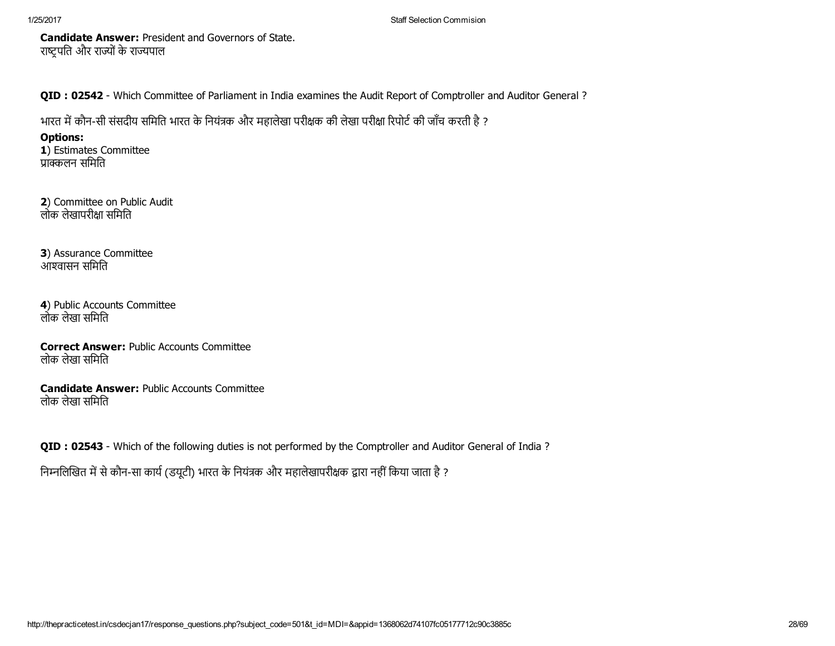Candidate Answer: President and Governors of State. राष्ट्रपति और राज्यों के राज्यपाल

QID : 02542 - Which Committee of Parliament in India examines the Audit Report of Comptroller and Auditor General ?

भारत में कौन-सी संसदीय समिति भारत के नियंत्रक और महालेखा परीक्षक की लेखा परीक्षा रिपोर्ट की जाँच करती है ?

Options:

1) Estimates Committee प्राक्कलन समिति

2) Committee on Public Audit लोक लेखापरीक्षा समिति

3) Assurance Committee आ詀वासन सिमित

4) Public Accounts Committee लोक लेखा सिमित

Correct Answer: Public Accounts Committee लोक लेखा सिमित

Candidate Answer: Public Accounts Committee लोक लेखा सिमित

QID : 02543 - Which of the following duties is not performed by the Comptroller and Auditor General of India ?

निम्नलिखित में से कौन-सा कार्य (डयूटी) भारत के नियंत्रक और महालेखापरीक्षक द्वारा नहीं किया जाता है ?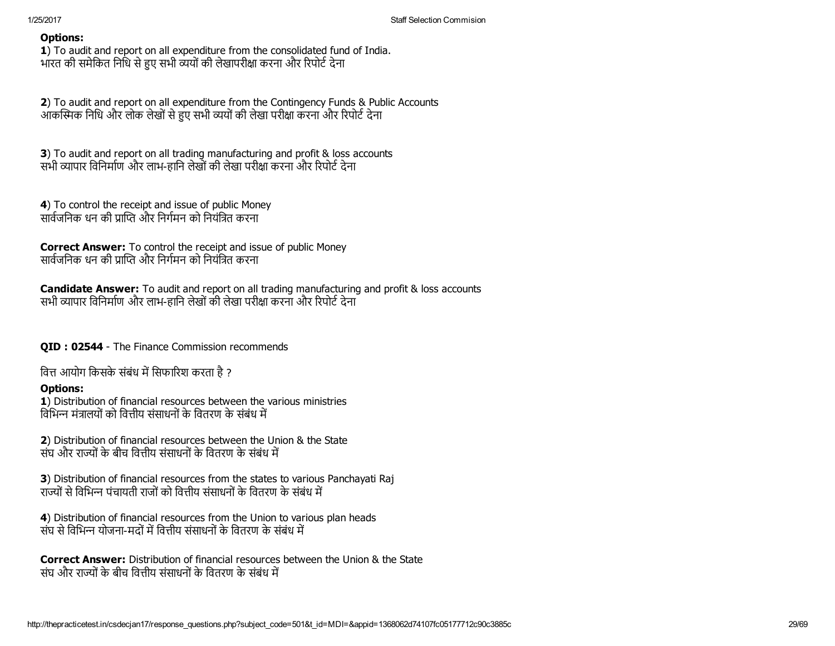1) To audit and report on all expenditure from the consolidated fund of India. भारत की समेकित निधि से हुए सभी व्ययों की लेखापरीक्षा करना और रिपोर्ट देना

2) To audit and report on all expenditure from the Contingency Funds & Public Accounts आकस्मिक निधि और लोक लेखों से हुए सभी व्ययों की लेखा परीक्षा करना और रिपोर्ट देना

**3**) To audit and report on all trading manufacturing and profit & loss accounts सभी व्यापार विनिर्माण और लाभ-हानि लेखों की लेखा परीक्षा करना और रिपोर्ट देना

4) To control the receipt and issue of public Money सार्वजनिक धन की प्राप्ति और निर्गमन को नियंत्रित करना

Correct Answer: To control the receipt and issue of public Money सार्वजनिक धन की प्राप्ति और निर्गमन को नियंत्रित करना

**Candidate Answer:** To audit and report on all trading manufacturing and profit & loss accounts सभी व्यापार विनिर्माण और लाभ-हानि लेखों की लेखा परीक्षा करना और रिपोर्ट देना

**OID : 02544** - The Finance Commission recommends

वित्त आयोग किसके संबंध में सिफारिश करता है ?

# Options:

1) Distribution of financial resources between the various ministries विभिन्न मंत्रालयों को वित्तीय संसाधनों के वितरण के संबंध में

2) Distribution of financial resources between the Union & the State सॅघ और राज्यों के बीच वित्तीय संसाधनों के वितरण के संबंध में

3) Distribution of financial resources from the states to various Panchayati Raj राज्यों से विभिन्न पंचायती राजों को वित्तीय संसाधनों के वितरण के संबंध में

4) Distribution of financial resources from the Union to various plan heads संघ से विभिन्न योजना-मदों में वित्तीय संसाधनों के वितरण के संबंध में

Correct Answer: Distribution of financial resources between the Union & the State संघ और राज्यों के बीच वित्तीय संसाधनों के वितरण के संबंध में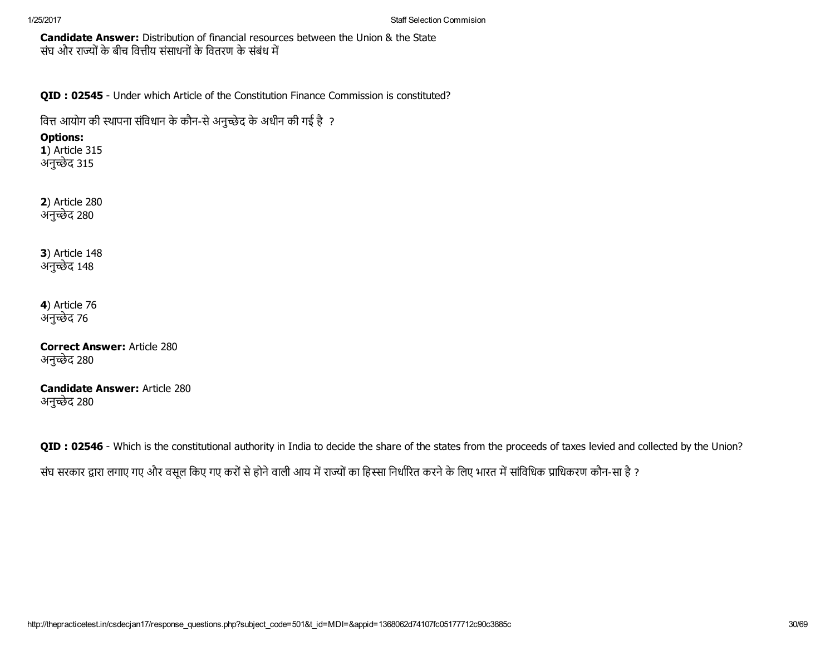Candidate Answer: Distribution of financial resources between the Union & the State संघ और राज्यों के बीच वित्तीय संसाधनों के वितरण के संबंध में

QID : 02545 - Under which Article of the Constitution Finance Commission is constituted?

वित्त आयोग की स्थापना संविधान के कौन-से अनुच्छेद के अधीन की गई है ?

## Options:

**1)** Article 315 अनुच्छेद 315

2) Article 280 अनुच्छेद 280

3) Article 148 अनुच्छेद 148

4) Article 76 अनुच्छेद 76

Correct Answer: Article 280 अनुच्छेद 280

Candidate Answer: Article 280 अनुच्छेद 280

QID : 02546 - Which is the constitutional authority in India to decide the share of the states from the proceeds of taxes levied and collected by the Union? संघ सरकार द्वारा लगाए गए और वसूल किए गए करों से होने वाली आय में राज्यों का हिस्सा निर्धारित करने के लिए भारत में सांविधिक प्राधिकरण कौन-सा है ?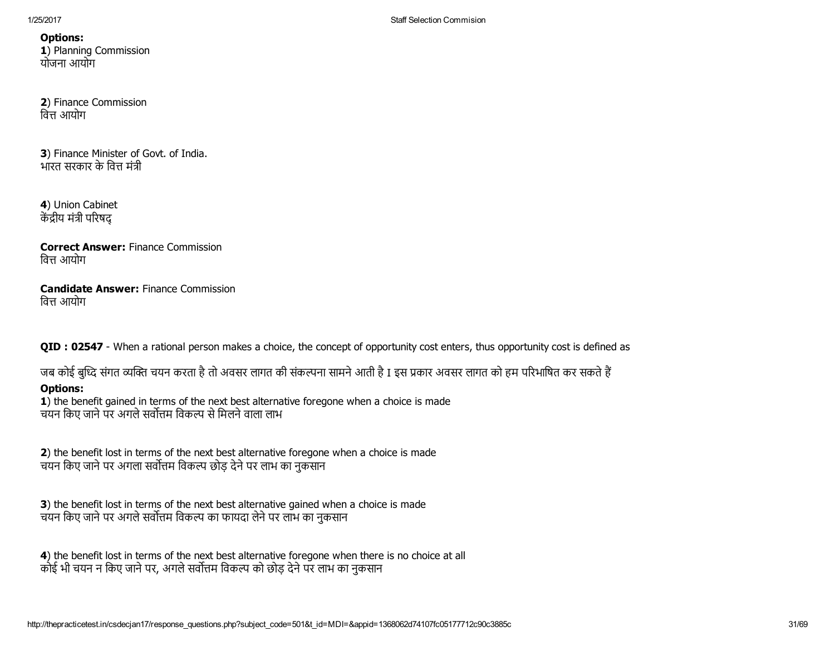Options: 1) Planning Commission योजना आयोग

2) Finance Commission वित्त आयोग

3) Finance Minister of Govt. of India. भारत सरकार के वित्त मंत्री

4) Union Cabinet केंद्रीय मंत्री परिषद

Correct Answer: Finance Commission वित्त आयोग

Candidate Answer: Finance Commission वित्त आयोग

QID : 02547 - When a rational person makes a choice, the concept of opportunity cost enters, thus opportunity cost is defined as

जब कोई बुध्दि संगत व्यक्ति चयन करता है तो अवसर लागत की संकल्पना सामने आती है I इस प्रकार अवसर लागत को हम परिभाषित कर सकते हैं

# Options:

1) the benefit gained in terms of the next best alternative foregone when a choice is made चयन किए जाने पर अगले सर्वोत्तम विकल्प से मिलने वाला लाभ

2) the benefit lost in terms of the next best alternative foregone when a choice is made चयन किए जाने पर अगला सर्वोत्तम विकल्प छोड़ देने पर लाभ का नुकसान

3) the benefit lost in terms of the next best alternative gained when a choice is made चयन किए जाने पर अगले सर्वोत्तम विकल्प का फायदा लेने पर लाभ का नुकसान

4) the benefit lost in terms of the next best alternative foregone when there is no choice at all कोई भी चयन न किए जाने पर, अगले सर्वोत्तम विकल्प को छोड़ देने पर लाभ का नकसान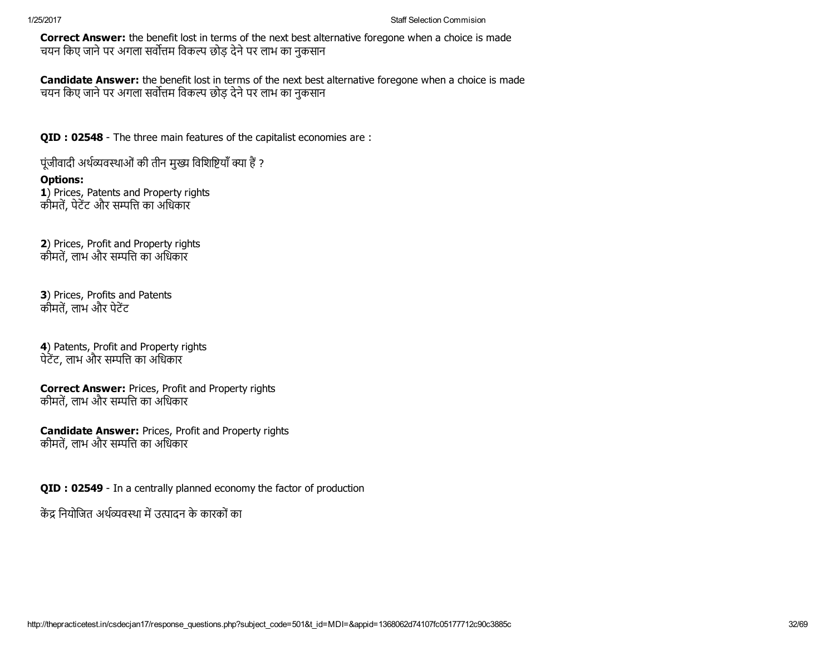Correct Answer: the benefit lost in terms of the next best alternative foregone when a choice is made चयन किए जाने पर अगला सर्वोत्तम विकल्प छोड़ देने पर लाभ का नुकसान

**Candidate Answer:** the benefit lost in terms of the next best alternative foregone when a choice is made चयन किए जाने पर अगला सर्वोत्तम विकल्प छोड़ देने पर लाभ का नुकसान

QID : 02548 - The three main features of the capitalist economies are :

पूंजीवादी अर्थव्यवस्थाओं की तीन मुख्य विशिष्टियाँ क्या हैं ?

## Options:

1) Prices, Patents and Property rights कीमतें, पेटेंट और सम्पत्ति का अधिकार

2) Prices, Profit and Property rights कीमतें, लाभ और सम्पत्ति का अधिकार

3) Prices, Profits and Patents कीमतें, लाभ और पेटेंट

4) Patents, Profit and Property rights पेटेंट, लाभ और सम्पत्ति का अधिकार

Correct Answer: Prices, Profit and Property rights कीमतें, लाभ और सम्पत्ति का अधिकार

Candidate Answer: Prices, Profit and Property rights कीमतें, लाभ और सम्पत्ति का अधिकार

QID : 02549 - In a centrally planned economy the factor of production

केंद्र नियोजित अर्थव्यवस्था में उत्पादन के कारकों का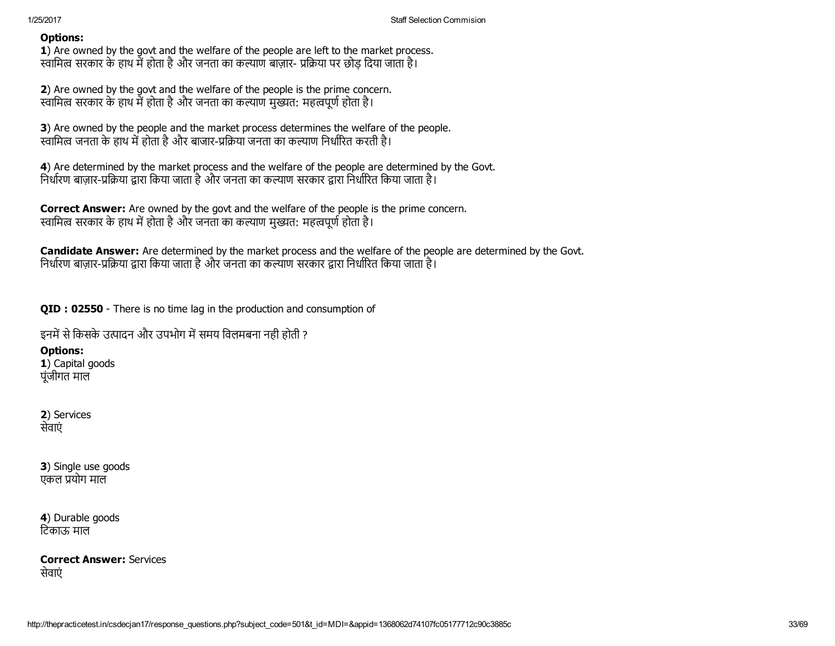1) Are owned by the govt and the welfare of the people are left to the market process. स्वामित्व सरकार के हाथ में होता है और जनता का कल्याण बाज़ार- प्रक्रिया पर छोड़ दिया जाता है।

2) Are owned by the govt and the welfare of the people is the prime concern. स्वामित्व सरकार के हाथ में होता है और जनता का कल्याण मुख्यत: महत्वपूर्ण होता है।

3) Are owned by the people and the market process determines the welfare of the people. स्वामित्व जनता के हाथ में होता है और बाजार-प्रक्रिया जनता का कल्याण निर्धारित करती है।

4) Are determined by the market process and the welfare of the people are determined by the Govt. निर्धारण बाज़ार-प्रक्रिया द्वारा किया जाता है और जनता का कल्याण सरकार द्वारा निर्धारित किया जाता है।

Correct Answer: Are owned by the govt and the welfare of the people is the prime concern. स्वामित्व सरकार के हाथ में होता है और जनता का कल्याण मुख्यत: महत्वपूर्ण होता है।

Candidate Answer: Are determined by the market process and the welfare of the people are determined by the Govt. निर्धारण बाज़ार-प्रक्रिया द्वारा किया जाता है और जनता का कल्याण सरकार द्वारा निर्धारित किया जाता है।

QID : 02550 - There is no time lag in the production and consumption of

इनमें से किसके उत्पादन और उपभोग में समय विलमबना नही होती ?

Options:

1) Capital goods पूंजीगत माल

2) Services सेवाएं

3) Single use goods एकल प्रयोग माल

4) Durable goods िटकाऊ माल

Correct Answer: Services सेवाएं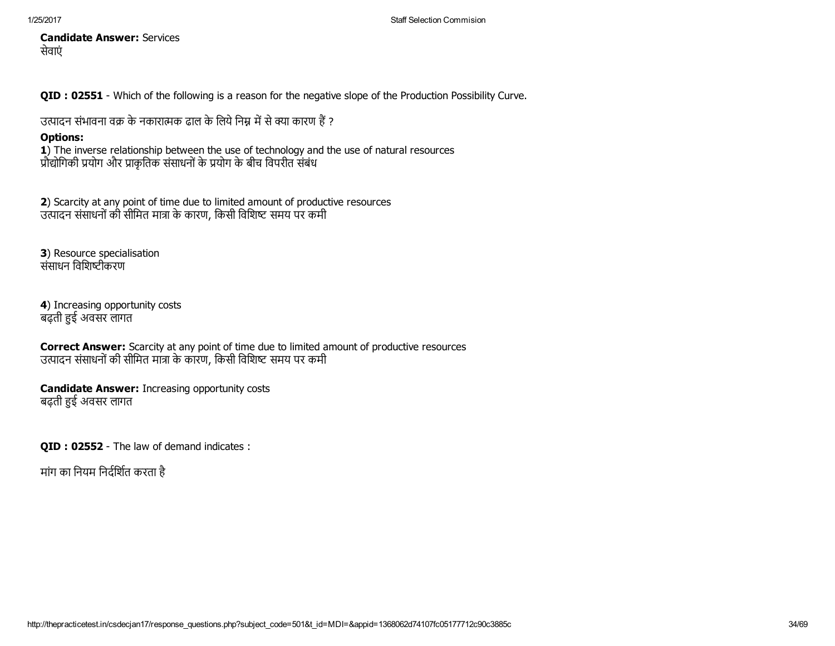Candidate Answer: Services सेवाएं

QID : 02551 Which of the following is a reason for the negative slope of the Production Possibility Curve.

उत्पादन संभावना वक्र के नकारात्मक ढाल के लिये निम्न में से क्या कारण हैं ?

# Options:

1) The inverse relationship between the use of technology and the use of natural resources प्रौद्योगिकी प्रयोग और प्राकृतिक संसाधनों के प्रयोग के बीच विपरीत संबंध

2) Scarcity at any point of time due to limited amount of productive resources उत्पादन संसाधनों की सीमित मात्रा के कारण, किसी विशिष्ट समय पर कमी

3) Resource specialisation संसाधन विशिष्टीकरण

4) Increasing opportunity costs बढ़ती हुई अवसर लागत

Correct Answer: Scarcity at any point of time due to limited amount of productive resources उत्पादन संसाधनों की सीमित मात्रा के कारण, किसी विशिष्ट समय पर कमी

Candidate Answer: Increasing opportunity costs बढ़ती हुई अवसर लागत

QID : 02552 - The law of demand indicates :

मांग का नियम निर्दर्शित करता है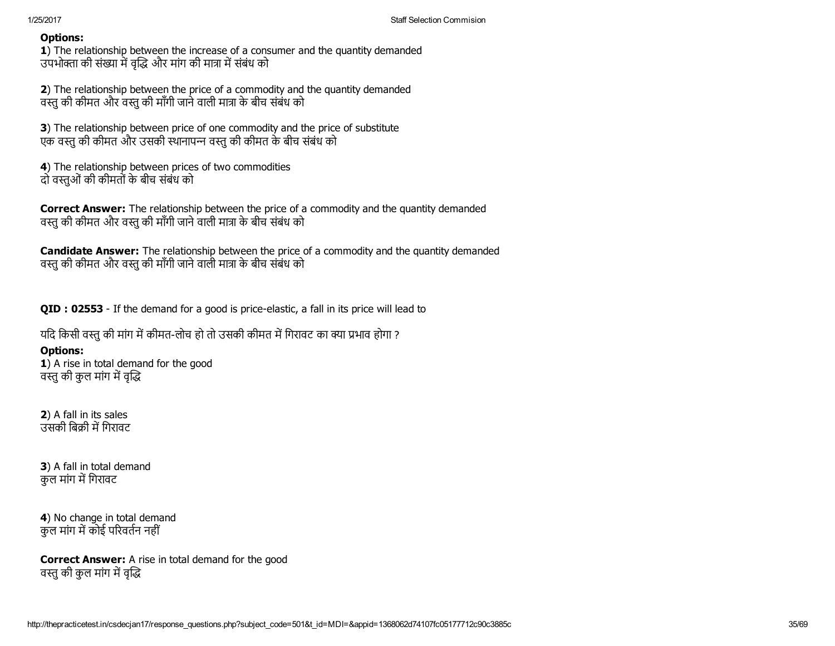1) The relationship between the increase of a consumer and the quantity demanded उपभोक्ता की संख्या में वृद्धि और मांग की मात्रा में संबंध को

2) The relationship between the price of a commodity and the quantity demanded वस्तु की कीमत और वस्तु की माँगी जाने वाली मात्रा के बीच संबंध को

3) The relationship between price of one commodity and the price of substitute एक वस्तु की कीमत और उसकी स्थानापन्न वस्तु की कीमत के बीच संबंध को

4) The relationship between prices of two commodities दो वस्तुओं की कीमतों के बीच संबंध को

**Correct Answer:** The relationship between the price of a commodity and the quantity demanded वस्तु की कीमत और वस्तु की माँगी जाने वाली मात्रा के बीच संबंध को

**Candidate Answer:** The relationship between the price of a commodity and the quantity demanded वस्तु की कीमत और वस्तु की माँगी जाने वाली मात्रा के बीच संबंध को

QID : 02553 - If the demand for a good is price-elastic, a fall in its price will lead to

यदि किसी वस्तु की मांग में कीमत-लोच हो तो उसकी कीमत में गिरावट का क्या प्रभाव होगा ?

# Options:

1) A rise in total demand for the good वस्तु की कुल मांग में वृद्धि

2) A fall in its sales उसकी बिक्री में गिरावट

3) A fall in total demand कुल मांग में गिरावट

4) No change in total demand कल मांग में कोई परिवर्तन नहीं

Correct Answer: A rise in total demand for the good वस्तु की कुल मांग में वृद्धि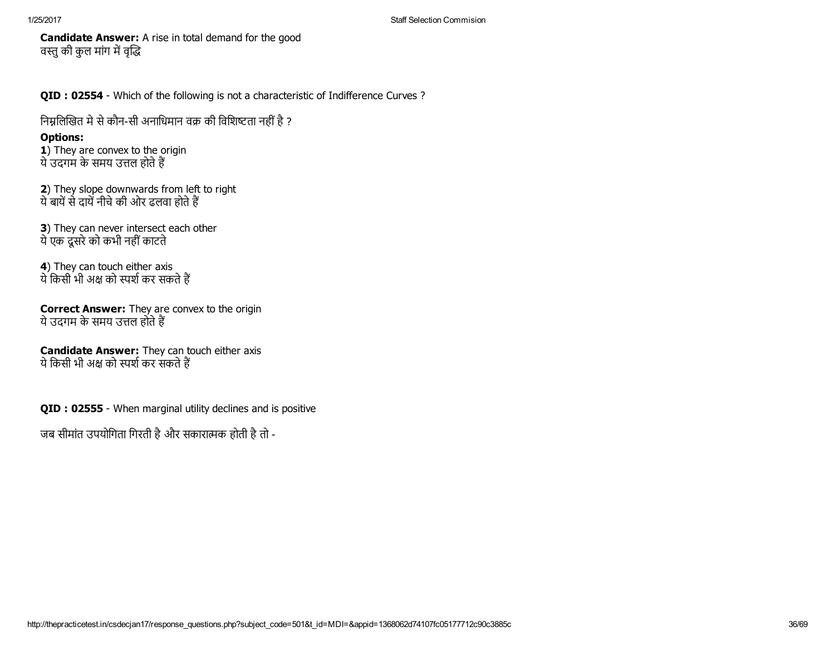Candidate Answer: A rise in total demand for the good वस्तु की कुल मांग में वृद्धि

QID : 02554 - Which of the following is not a characteristic of Indifference Curves ?

निम्नलिखित मे से कौन-सी अनाधिमान वक्र की विशिष्टता नहीं है ?

## Options:

1) They are convex to the origin ये उदगम के समय उत्तल होते हैं

2) They slope downwards from left to right ये बायें से दायें नीचे की ओर ढलवा होते हैं

3) They can never intersect each other येएक दूसरेको कभी नहींकाटते

4) They can touch either axis ये किसी भी अक्ष को स्पर्श कर सकते हैं

**Correct Answer:** They are convex to the origin ये उदगम के समय उत्तल होते हैं

Candidate Answer: They can touch either axis ये किसी भी अक्ष को स्पर्श कर सकते हैं

QID : 02555 - When marginal utility declines and is positive

जब सीमांत उपयोगिता गिरती है और सकारात्मक होती है तो -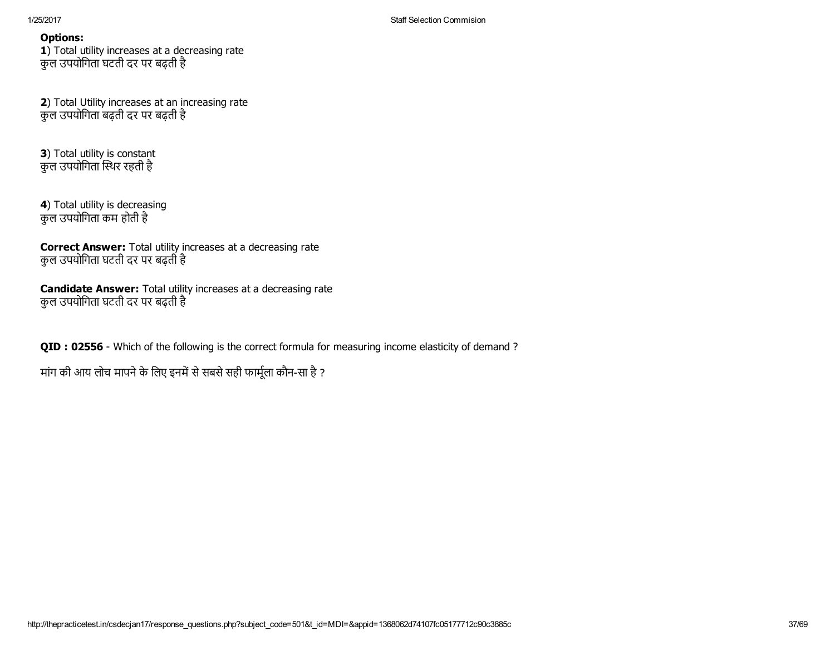1) Total utility increases at a decreasing rate कुल उपयोिगता घटती दर पर बढ़ती है

2) Total Utility increases at an increasing rate कुल उपयोिगता बढ़ती दर पर बढ़ती है

3) Total utility is constant कुल उपयोगिता स्थिर रहती है

4) Total utility is decreasing कुल उपयोिगता कम होती है

Correct Answer: Total utility increases at a decreasing rate कुल उपयोिगता घटती दर पर बढ़ती है

Candidate Answer: Total utility increases at a decreasing rate कुल उपयोिगता घटती दर पर बढ़ती है

QID : 02556 - Which of the following is the correct formula for measuring income elasticity of demand ?

मांग की आय लोच मापने के लिए इनमें से सबसे सही फार्मूला कौन-सा है ?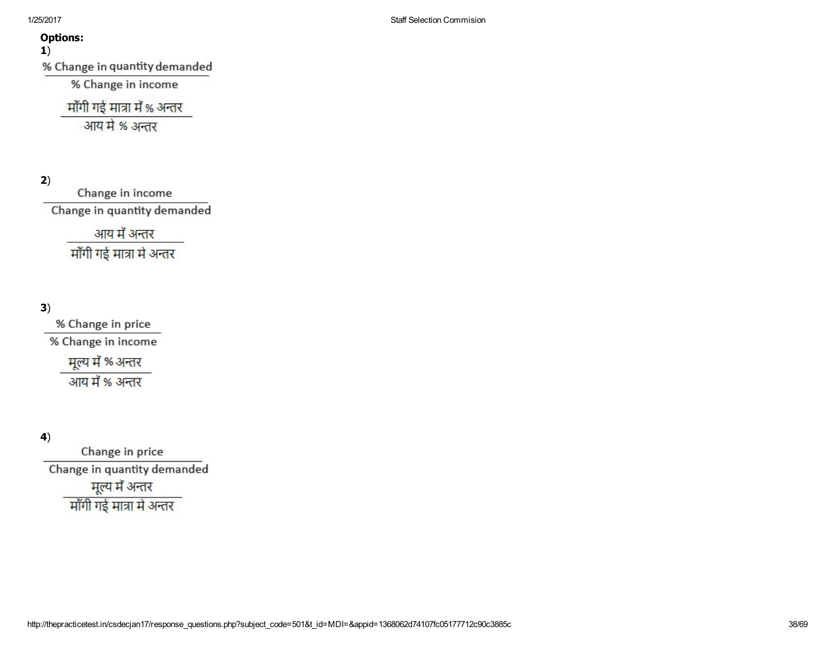1)

% Change in quantity demanded

% Change in income

माँगी गई मात्रा में % अन्तर

आय मे % अन्तर

2)

Change in income Change in quantity demanded

आय में अन्तर

माँगी गई मात्रा मे अन्तर

# 3)

% Change in price % Change in income मूल्य में % अन्तर आय में % अन्तर

# 4)

Change in price Change in quantity demanded मूल्य में अन्तर माँगी गई मात्रा मे अन्तर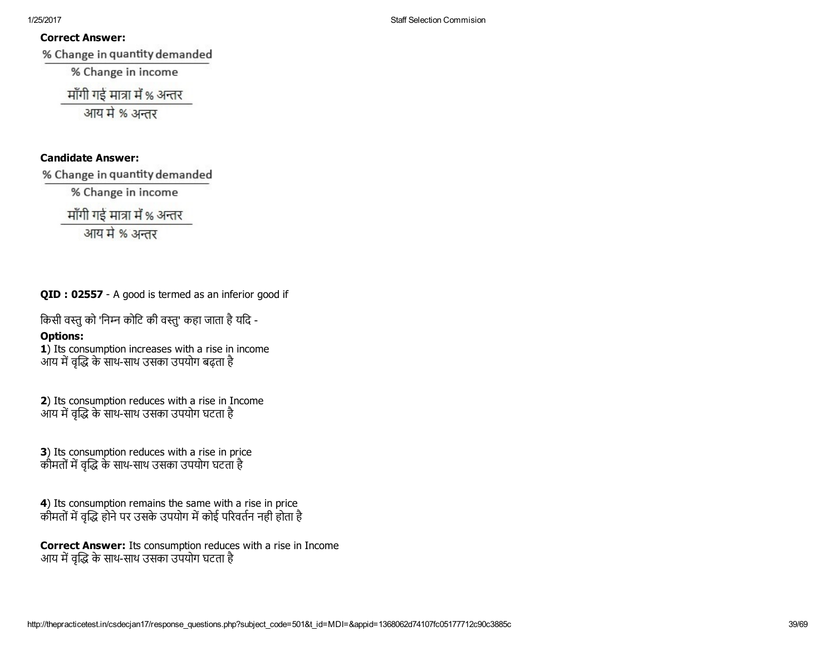## Correct Answer:

% Change in quantity demanded

% Change in income

माँगी गई मात्रा में % अन्तर

आय मे % अन्तर

# Candidate Answer:

% Change in quantity demanded

% Change in income

माँगी गई मात्रा में % अन्तर

आय मे % अन्तर

QID : 02557 - A good is termed as an inferior good if

किसी वस्तु को 'निम्न कोटि की वस्तु' कहा जाता है यदि -

# Options:

1) Its consumption increases with a rise in income आय में वृद्धि के साथ-साथ उसका उपयोग बढ़ता है

2) Its consumption reduces with a rise in Income आय में वृद्धि के साथ-साथ उसका उपयोग घटता है

3) Its consumption reduces with a rise in price कीमतों में वृद्धि के साथ-साथ उसका उपयोग घटता है

4) Its consumption remains the same with a rise in price कीमतों में वृद्धि होने पर उसके उपयोग में कोई परिवर्तन नही होता है

Correct Answer: Its consumption reduces with a rise in Income आय में वृद्धि के साथ-साथ उसका उपयोग घटता है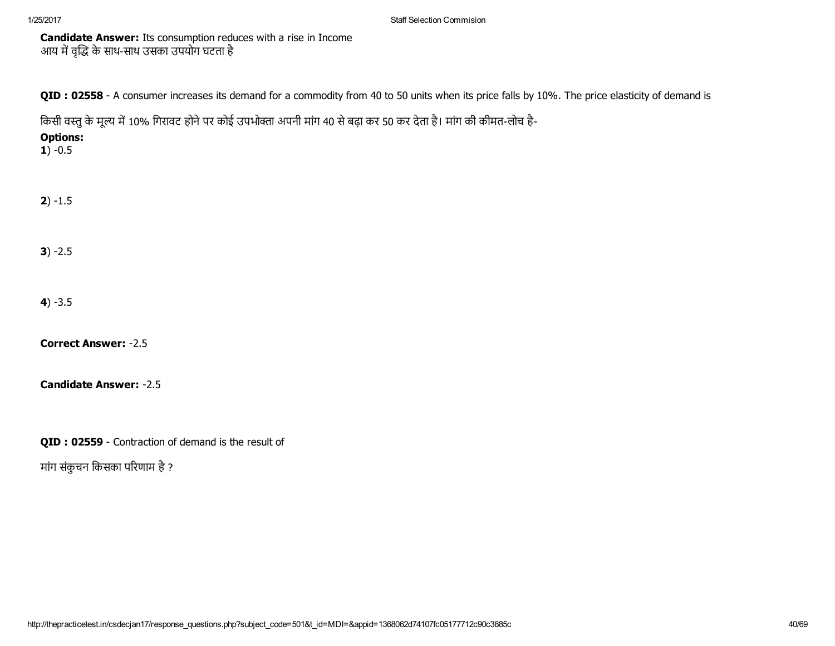1/25/2017 Staff Selection Commision

Candidate Answer: Its consumption reduces with a rise in Income आय में वृद्धि के साथ-साथ उसका उपयोग घटता है

QID : 02558 - A consumer increases its demand for a commodity from 40 to 50 units when its price falls by 10%. The price elasticity of demand is

किसी वस्तु के मूल्य में 10% गिरावट होने पर कोई उपभोक्ता अपनी मांग 40 से बढ़ा कर 50 कर देता है। मांग की कीमत-लोच है-

Options:

 $1) -0.5$ 

 $2) - 1.5$ 

 $3) -2.5$ 

 $4) -3.5$ 

**Correct Answer: -2.5** 

Candidate Answer: -2.5

QID : 02559 - Contraction of demand is the result of

मांग संकुचन किसका परिणाम है ?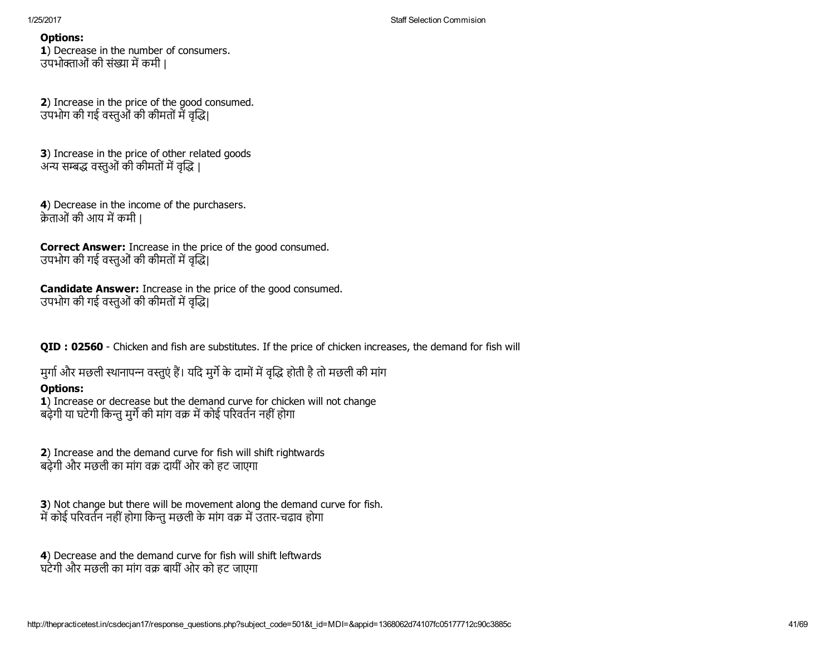1) Decrease in the number of consumers. उपभोक्ताओं की संख्या में कमी |

2) Increase in the price of the good consumed. उपभोग की गई वस्तुओं की कीमतों में वृद्धि।

3) Increase in the price of other related goods अन्य सम्बद्ध वस्तओं की कीमतों में वद्धि ।

4) Decrease in the income of the purchasers. क्रेताओं की आय में कमी |

Correct Answer: Increase in the price of the good consumed. उपभोग की गई वस्तुओं की कीमतों में वृद्धि।

Candidate Answer: Increase in the price of the good consumed. उपभोग की गई वस्तुओं की कीमतों में वृद्धि।

QID : 02560 - Chicken and fish are substitutes. If the price of chicken increases, the demand for fish will

मुर्गा और मछली स्थानापन्न वस्तुएं हैं। यदि मुर्गे के दामों में वृद्धि होती है तो मछली की मांग

# Options:

1) Increase or decrease but the demand curve for chicken will not change बढ़ेगी या घटेगी किन्तु मर्गे की मांग वक्र में कोई परिवर्तन नहीं होगा

2) Increase and the demand curve for fish will shift rightwards बढ़ेगी और मछली का मांग वक्र दायीं ओर को हट जाएगा

3) Not change but there will be movement along the demand curve for fish. में कोई परिवर्तन नहीं होगा किन्तु मछली के मांग वक्र में उतार-चढाव होगा

4) Decrease and the demand curve for fish will shift leftwards घटेगी और मछली का मांग वक्र बायीं ओर को हट जाएगा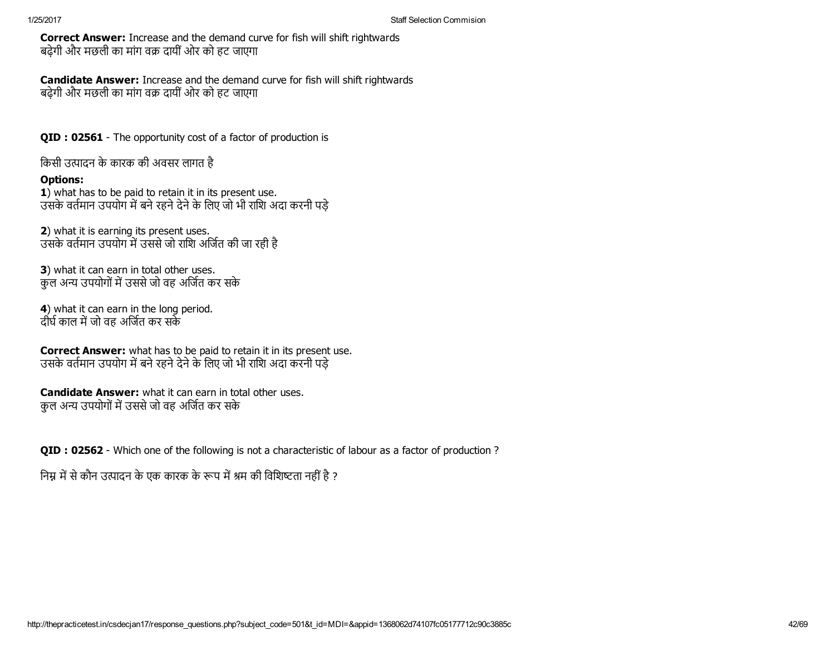Correct Answer: Increase and the demand curve for fish will shift rightwards बढ़ेगी और मछली का मांग वक्र दायीं ओर को हट जाएगा

Candidate Answer: Increase and the demand curve for fish will shift rightwards बढ़ेगी और मछली का मांग वक्र दायीं ओर को हट जाएगा

QID : 02561 - The opportunity cost of a factor of production is

िकसी उ藀पादन के कारक की अवसर लागत है

## Options:

1) what has to be paid to retain it in its present use. उसके वर्तमान उपयोग में बने रहने देने के लिए जो भी राशि अदा करनी पड़े

2) what it is earning its present uses. उसके वर्तमान उपयोग में उससे जो राशि अर्जित की जा रही है

3) what it can earn in total other uses. कुल अन्य उपयोगों में उससे जो वह अर्जित कर सके

4) what it can earn in the long period. दीर्घ काल में जो वह अर्जित कर सकें

Correct Answer: what has to be paid to retain it in its present use. उसके वर्तमान उपयोग में बने रहने देने के लिए जो भी राशि अदा करनी पड़े

Candidate Answer: what it can earn in total other uses. कुल अन्य उपयोगों में उससे जो वह अर्जित कर सके

QID : 02562 - Which one of the following is not a characteristic of labour as a factor of production ?

निम्न में से कौन उत्पादन के एक कारक के रूप में श्रम की विशिष्टता नहीं है ?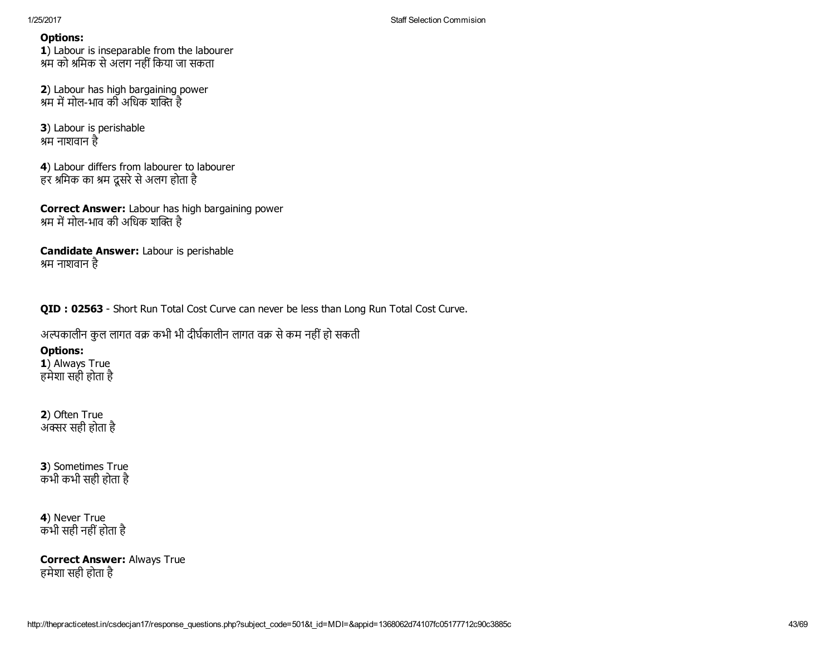1) Labour is inseparable from the labourer श्रम को श्रमिक से अलग नहीं किया जा सकता

2) Labour has high bargaining power श्रम में मोल-भाव की अधिक शक्ति है

3) Labour is perishable श्रम नाशवान है

4) Labour differs from labourer to labourer हर श्रमिक का श्रम दूसरे से अलग होता है

Correct Answer: Labour has high bargaining power श्रम में मोल-भाव की अधिक शक्ति है

Candidate Answer: Labour is perishable श्रम नाशवान है

QID : 02563 - Short Run Total Cost Curve can never be less than Long Run Total Cost Curve.

अल्पकालीन कुल लागत वक्र कभी भी दीर्घकालीन लागत वक्र से कम नहीं हो सकती

# Options:

1) Always True हमेशा सही होता है

2) Often True ्<br>अक्सर सही होता है

3) Sometimes True कभी कभी सही होता है

## 4) Never True कभी सही नहींहोता है

Correct Answer: Always True हमेशा सही होता है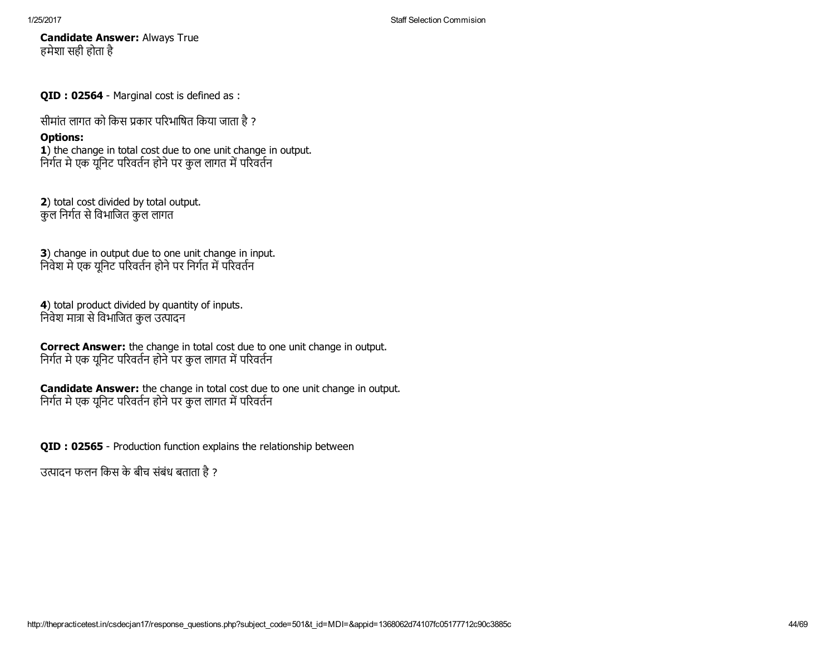Candidate Answer: Always True हमेशा सही होता है

QID : 02564 - Marginal cost is defined as :

सीमांत लागत को किस प्रकार परिभाषित किया जाता है ?

## Options:

1) the change in total cost due to one unit change in output. निर्गत मे एक यूनिट परिवर्तन होने पर कुल लागत में परिवर्तन

2) total cost divided by total output. कुल निर्गत से विभाजित कुल लागत

3) change in output due to one unit change in input. निवेश मे एक यूनिट परिवर्तन होने पर निर्गत में परिवर्तन

4) total product divided by quantity of inputs. निवेश मात्रा से विभाजित कुल उत्पादन

Correct Answer: the change in total cost due to one unit change in output. निर्गत मे एक यूनिट परिवर्तन होने पर कुल लागत में परिवर्तन

Candidate Answer: the change in total cost due to one unit change in output. निर्गत मे एक यूनिट परिवर्तन होने पर कुल लागत में परिवर्तन

QID : 02565 - Production function explains the relationship between

उत्पादन फलन किस के बीच संबंध बताता है ?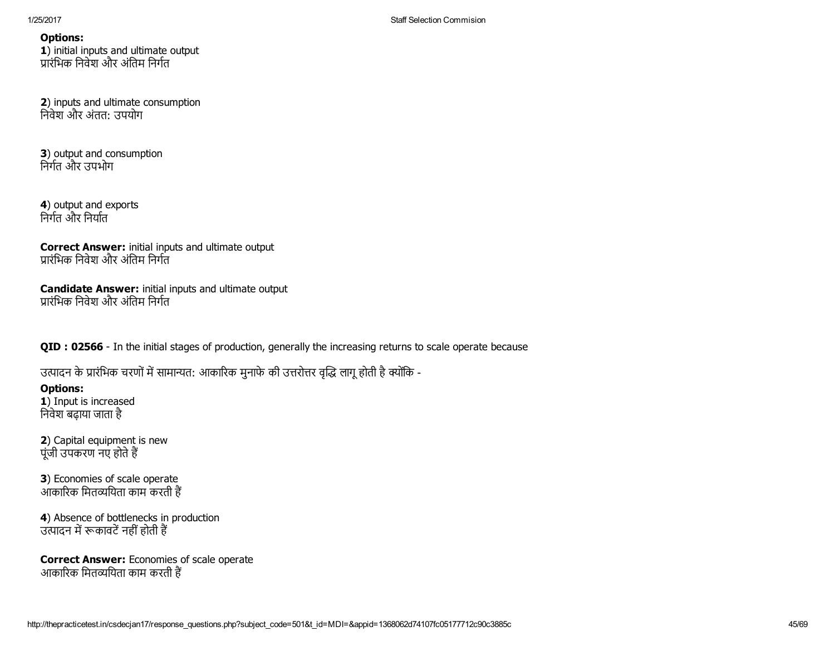1) initial inputs and ultimate output प्रारंभिक निवेश और अंतिम निर्गत

2) inputs and ultimate consumption िनवेश और अंतत: उपयोग

3) output and consumption निर्गत और उपभोग

4) output and exports निर्गत और निर्यात

Correct Answer: initial inputs and ultimate output प्रारंभिक निवेश और अंतिम निर्गत

Candidate Answer: initial inputs and ultimate output प्रारंभिक निवेश और अंतिम निर्गत

QID : 02566 - In the initial stages of production, generally the increasing returns to scale operate because

उत्पादन के प्रारंभिक चरणों में सामान्यत: आकारिक मुनाफे की उत्तरोत्तर वृद्धि लागू होती है क्योंकि -

Options: 1) Input is increased िनवेश बढ़ाया जाता है

2) Capital equipment is new पूंजी उपकरण नए होतेह

3) Economies of scale operate ्<br>आकारिक मितव्ययिता काम करती हैं

4) Absence of bottlenecks in production उत्पादन में रूकावटें नहीं होती हैं

Correct Answer: Economies of scale operate उटन उटन मान्ने नगर करना काम करती हैं<br>आकारिक मितव्ययिता काम करती हैं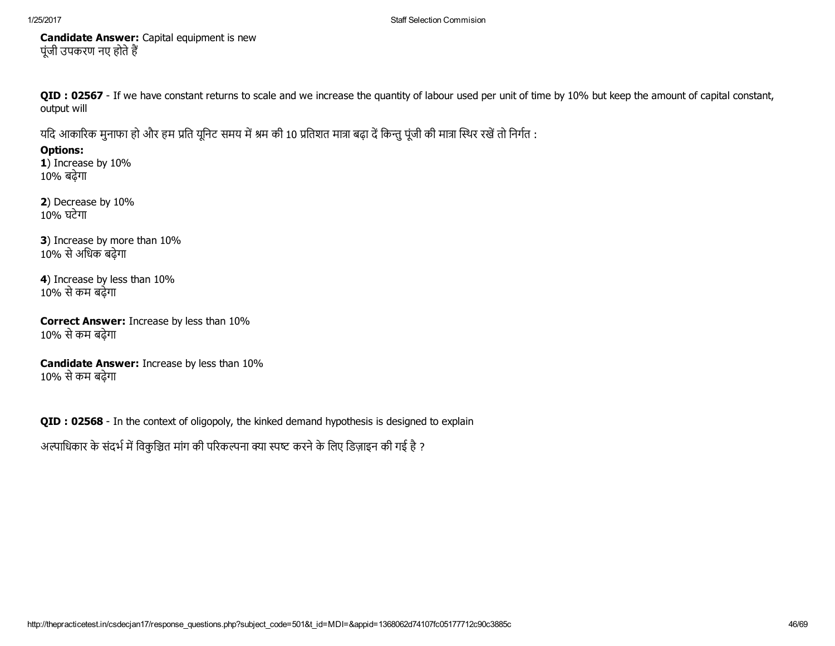Candidate Answer: Capital equipment is new पूंजी उपकरण नए होते हैं

QID : 02567 - If we have constant returns to scale and we increase the quantity of labour used per unit of time by 10% but keep the amount of capital constant, output will

यदि आकारिक मुनाफा हो और हम प्रति यूनिट समय में श्रम की 10 प्रतिशत मात्रा बढ़ा दें किन्तु पूंजी की मात्रा स्थिर रखें तो निर्गत :

Options:

1) Increase by 10% 10% बढ़ेगा

2) Decrease by 10% 10% घटेगा

3) Increase by more than 10% 10% सेअिधक बढ़ेगा

4) Increase by less than 10% 10% सेकम बढ़ेगा

Correct Answer: Increase by less than 10% 10% सेकम बढ़ेगा

Candidate Answer: Increase by less than 10% 10% सेकम बढ़ेगा

QID : 02568 - In the context of oligopoly, the kinked demand hypothesis is designed to explain

अल्पाधिकार के संदर्भ में विकुञ्चित मांग की परिकल्पना क्या स्पष्ट करने के लिए डिज़ाइन की गई है ?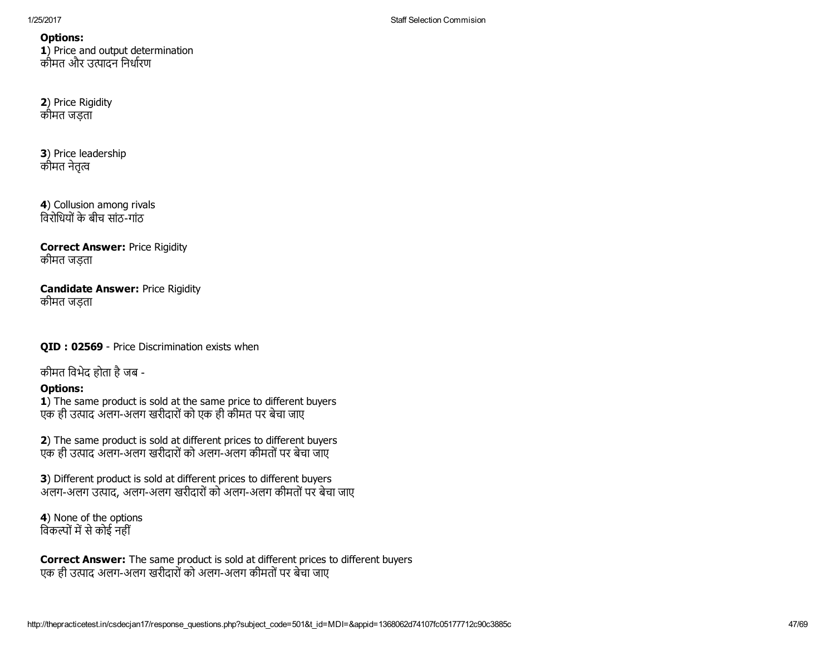1) Price and output determination कीमत और उत्पादन निर्धारण

## 2) Price Rigidity कीमत जड़ता

3) Price leadership कीमत नेतत्व

4) Collusion among rivals विरोधियों के बीच सांठ-गांठ

## Correct Answer: Price Rigidity कीमत जड़ता

## Candidate Answer: Price Rigidity कीमत जड़ता

QID : 02569 - Price Discrimination exists when

कीमत िवभेद होता हैजब

# Options:

1) The same product is sold at the same price to different buyers एक ही उत्पाद अलग-अलग खरीदारों को एक ही कीमत पर बेचा जाए

2) The same product is sold at different prices to different buyers एक ही उत्पाद अलग-अलग खरीदारों को अलग-अलग कीमतों पर बेचा जाए

3) Different product is sold at different prices to different buyers अलग-अलग उत्पाद, अलग-अलग खरीदारों को अलग-अलग कीमतों पर बेचा जाए

4) None of the options विकल्पों में से कोई नहीं

Correct Answer: The same product is sold at different prices to different buyers एक ही उ藀पाद अलगअलग खरीदारोंको अलगअलग कीमतोंपर बेचा जाए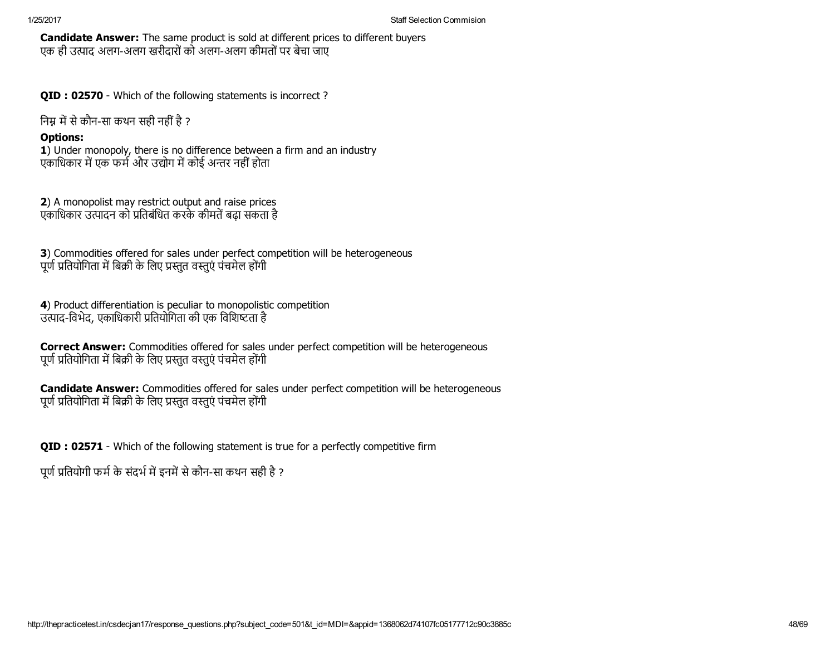Candidate Answer: The same product is sold at different prices to different buyers एक ही उत्पाद अलग-अलग खरीदारों को अलग-अलग कीमतों पर बेचा जाए

QID : 02570 - Which of the following statements is incorrect?

निम्न में से कौन-सा कथन सही नहीं है ?

## Options:

1) Under monopoly, there is no difference between a firm and an industry एकाधिकार में एक फर्म और उद्योग में कोई अन्तर नहीं होता

2) A monopolist may restrict output and raise prices एकाधिकार उत्पादन को प्रतिबंधित करके कीमतें बढ़ा सकता है

3) Commodities offered for sales under perfect competition will be heterogeneous पूर्ण प्रतियोगिता में बिक्री के लिए प्रस्तुत वस्तुएं पंचमेल होंगी

4) Product differentiation is peculiar to monopolistic competition उत्पाद-विभेद, एकाधिकारी प्रतियोगिता की एक विशिष्टता है

Correct Answer: Commodities offered for sales under perfect competition will be heterogeneous पूर्ण प्रतियोगिता में बिक्री के लिए प्रस्तुत वस्तुएं पंचमेल होंगी

Candidate Answer: Commodities offered for sales under perfect competition will be heterogeneous पूर्ण प्रतियोगिता में बिक्री के लिए प्रस्तुत वस्तुएं पंचमेल होंगी

QID : 02571 Which of the following statement is true for a perfectly competitive firm

पूर्ण प्रतियोगी फर्म के संदर्भ में इनमें से कौन-सा कथन सही है ?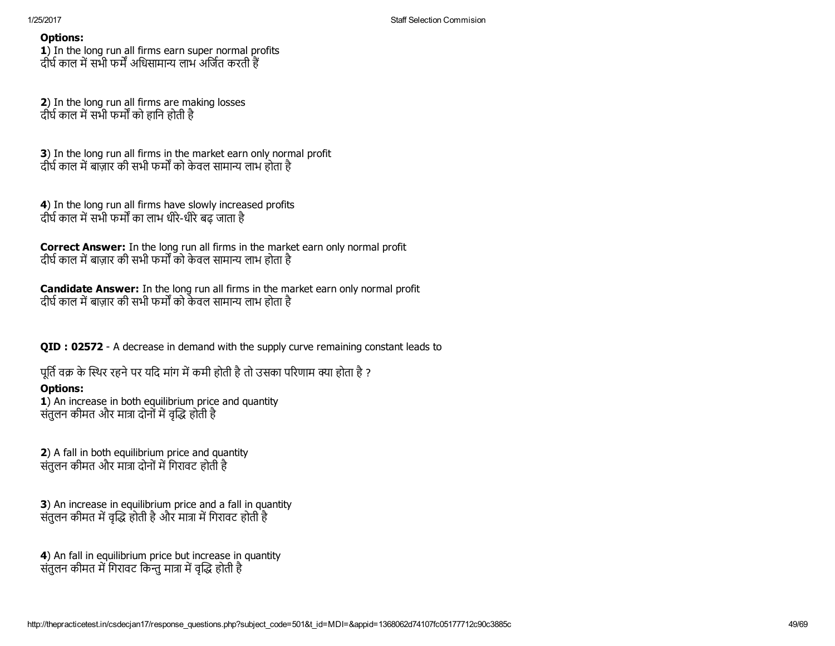1) In the long run all firms earn super normal profits दीर्घ काल में सभी फर्में अधिसामान्य लाभ अर्जित करती हैं

2) In the long run all firms are making losses दीर्घ काल में सभी फर्मों को हानि होती है

3) In the long run all firms in the market earn only normal profit दीर्घ काल में बाजार की सभी फर्मों को केवल सामान्य लाभ होता है

4) In the long run all firms have slowly increased profits दीर्घ काल में सभी फर्मों का लाभ धीरे-धीरे बढ़ जाता है

Correct Answer: In the long run all firms in the market earn only normal profit दीर्घ काल में बाजार की सभी फर्मों को केवल सामान्य लाभ होता है

Candidate Answer: In the long run all firms in the market earn only normal profit दीर्घ काल में बाज़ार की सभी फर्मों को केवल सामान्य लाभ होता है

QID : 02572 - A decrease in demand with the supply curve remaining constant leads to

पूर्ति वक्र के स्थिर रहने पर यदि मांग में कमी होती है तो उसका परिणाम क्या होता है ?

# Options:

1) An increase in both equilibrium price and quantity संतुलन कीमत और मात्रा दोनों में वृद्धि होती है

2) A fall in both equilibrium price and quantity संतुलन कीमत और मात्रा दोनों में गिरावट होती है

3) An increase in equilibrium price and a fall in quantity संतुलन कीमत में वृद्धि होती है और मात्रा में गिरावट होती है

4) An fall in equilibrium price but increase in quantity संतलन कीमत में गिरावट किन्त मात्रा में वद्धि होती है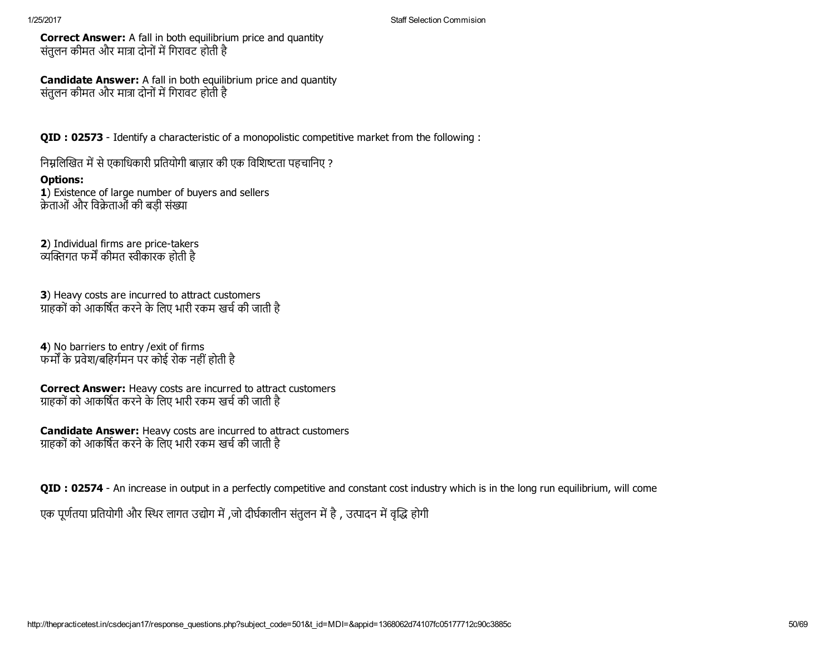Correct Answer: A fall in both equilibrium price and quantity संतुलन कीमत और मात्रा दोनों में गिरावट होती है

Candidate Answer: A fall in both equilibrium price and quantity संतलन कीमत और मात्रा दोनों में गिरावट होती है

QID : 02573 Identify a characteristic of a monopolistic competitive market from the following :

निम्नलिखित में से एकाधिकारी प्रतियोगी बाज़ार की एक विशिष्टता पहचानिए ?

## Options:

1) Existence of large number of buyers and sellers क्रेताओं और विक्रेताओं की बड़ी संख्या

2) Individual firms are price-takers ्यक्तिगत फर्में कीमत स्वीकारक होती है

3) Heavy costs are incurred to attract customers ग्राहकों को आकर्षित करने के लिए भारी रकम खर्च की जाती है

4) No barriers to entry / exit of firms फर्मों के प्रवेश/बहिर्गमन पर कोई रोक नहीं होती है

Correct Answer: Heavy costs are incurred to attract customers ग्राहकों को आकर्षित करने के लिए भारी रकम खर्च की जाती है

Candidate Answer: Heavy costs are incurred to attract customers ग्राहकों को आकर्षित करने के लिए भारी रकम खर्च की जाती है

**QID** : 02574 - An increase in output in a perfectly competitive and constant cost industry which is in the long run equilibrium, will come

एक पूर्णतया प्रतियोगी और स्थिर लागत उद्योग में ,जो दीर्घकालीन संतुलन में है , उत्पादन में वृद्धि होगी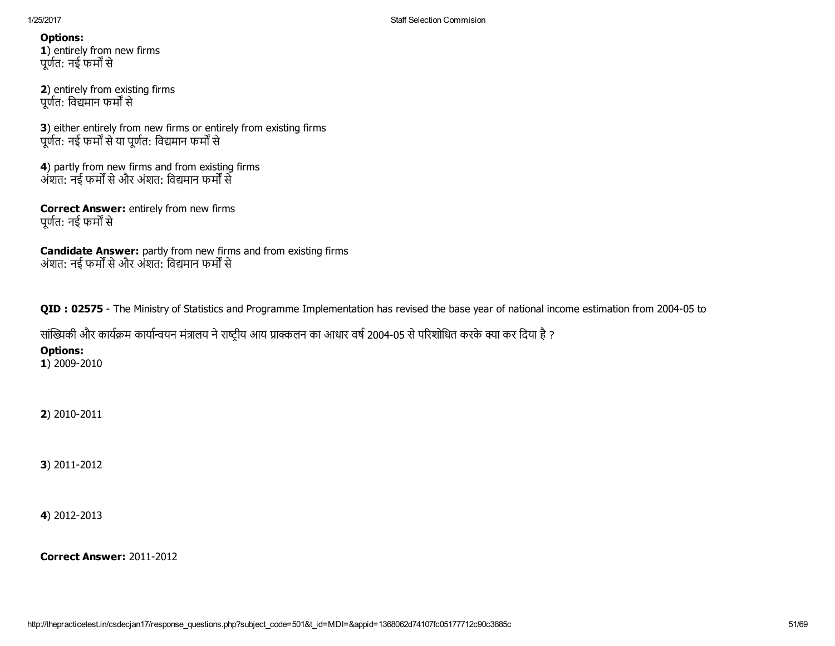1) entirely from new firms पूर्णत: नई फर्मों से

2) entirely from existing firms पूर्णत: विद्यमान फर्मों से

3) either entirely from new firms or entirely from existing firms पूर्णत: नई फर्मों से या पूर्णत: विद्यमान फर्मों से

4) partly from new firms and from existing firms अंशत: नई फर्मों से और अंशत: विद्यमान फर्मों से

Correct Answer: entirely from new firms पूर्णत: नई फर्मों से

Candidate Answer: partly from new firms and from existing firms अंशत: नई फर्मों से और अंशत: विद्यमान फर्मों से

QID : 02575 - The Ministry of Statistics and Programme Implementation has revised the base year of national income estimation from 2004-05 to

सांख्यिकी और कार्यक्रम कार्यान्वयन मंत्रालय ने राष्ट्रीय आय प्राक्कलन का आधार वर्ष 2004-05 से परिशोधित करके क्या कर दिया है ?

Options:

1) 2009-2010

2) 2010-2011

3) 2011-2012

4) 2012-2013

Correct Answer: 2011-2012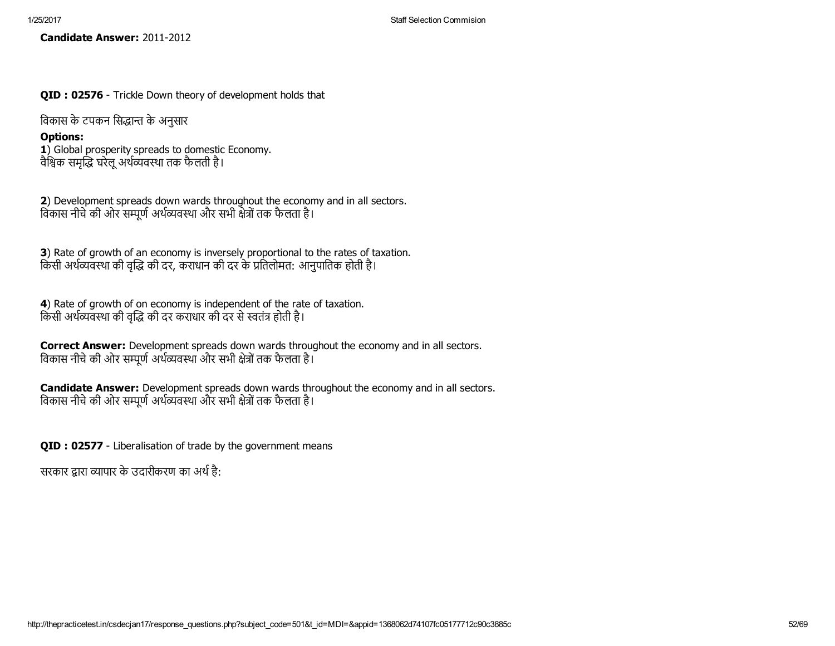Candidate Answer: 2011-2012

QID : 02576 - Trickle Down theory of development holds that

विकास के टपकन सिद्धान्त के अनुसार

## Options:

1) Global prosperity spreads to domestic Economy. वैश्विक समृद्धि घरेलू अर्थव्यवस्था तक फैलती है।

2) Development spreads down wards throughout the economy and in all sectors. विकास नीचे की ओर सम्पूर्ण अर्थव्यवस्था और सभी क्षेत्रों तक फैलता है।

3) Rate of growth of an economy is inversely proportional to the rates of taxation. किसी अर्थव्यवस्था की वृद्धि की दर, कराधान की दर के प्रतिलोमत: आनुपातिक होती है।

4) Rate of growth of on economy is independent of the rate of taxation. किसी अर्थव्यवस्था की वृद्धि की दर कराधार की दर से स्वतंत्र होती है।

Correct Answer: Development spreads down wards throughout the economy and in all sectors. विकास नीचे की ओर सम्पूर्ण अर्थव्यवस्था और सभी क्षेत्रों तक फैलता है।

Candidate Answer: Development spreads down wards throughout the economy and in all sectors. विकास नीचे की ओर सम्पूर्ण अर्थव्यवस्था और सभी क्षेत्रों तक फैलता है।

QID : 02577 - Liberalisation of trade by the government means

सरकार द्वारा व्यापार के उदारीकरण का अर्थ है: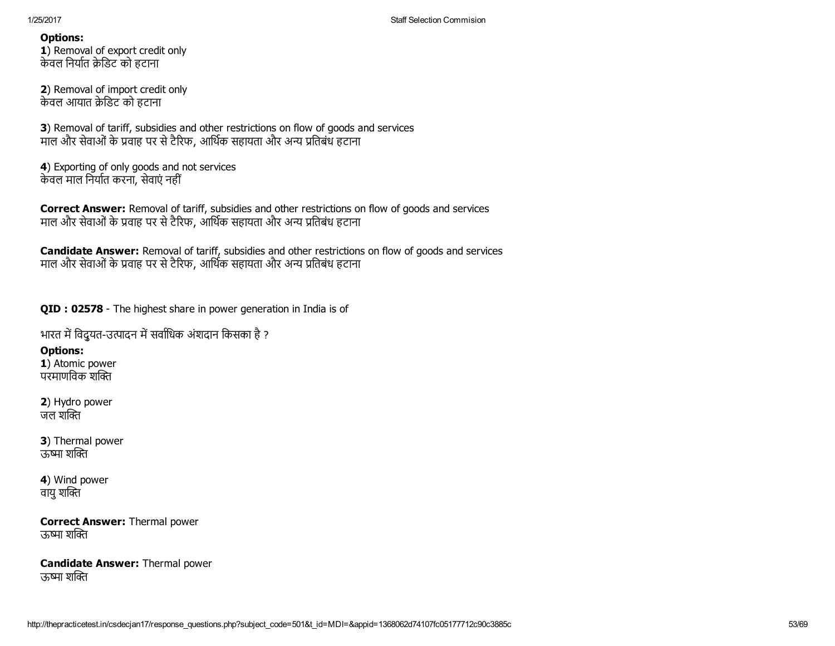1) Removal of export credit only केवल निर्यात क्रेडिट को हटाना

2) Removal of import credit only केवल आयात क्रेडिट को हटाना

3) Removal of tariff, subsidies and other restrictions on flow of goods and services माल और सेवाओं के प्रवाह पर से टैरिफ, आर्थिक सहायता और अन्य प्रतिबंध हटाना

4) Exporting of only goods and not services केवल माल निर्यात करना, सेवाएं नहीं

Correct Answer: Removal of tariff, subsidies and other restrictions on flow of goods and services माल और सेवाओं के प्रवाह पर से टैरिफ, आर्थिक सहायता और अन्य प्रतिबंध हटाना

Candidate Answer: Removal of tariff, subsidies and other restrictions on flow of goods and services माल और सेवाओं के प्रवाह पर से टैरिफ, आर्थिक सहायता और अन्य प्रतिबंध हटाना

QID : 02578 - The highest share in power generation in India is of

भारत में विद्रुयत-उत्पादन में सर्वाधिक अंशदान किसका है ?

Options:

1) Atomic power परमाणविक शक्ति

2) Hydro power जल शक्ति

3) Thermal power ऊष्मा शक्ति

4) Wind power वायु शक्ति

Correct Answer: Thermal power ऊष्मा शक्ति

Candidate Answer: Thermal power ऊष्मा शक्ति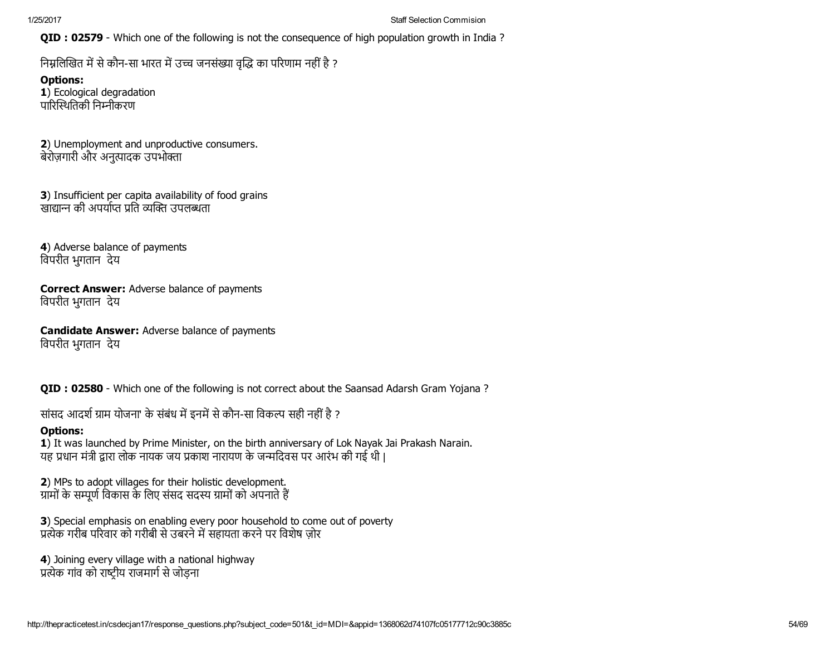QID : 02579 - Which one of the following is not the consequence of high population growth in India ?

निम्नलिखित में से कौन-सा भारत में उच्च जनसंख्या वृद्धि का परिणाम नहीं है ?

Options: 1) Ecological degradation पारिस्थितिकी निम्नीकरण

2) Unemployment and unproductive consumers. बेरोज़गारी और अनुत्पादक उपभोक्ता

3) Insufficient per capita availability of food grains ्खाद्यान्न की अपर्याप्त पति व्यक्ति उपलब्धता

4) Adverse balance of payments िवपरीत भुगतान देय

Correct Answer: Adverse balance of payments िवपरीत भुगतान देय

Candidate Answer: Adverse balance of payments िवपरीत भुगतान देय

QID : 02580 - Which one of the following is not correct about the Saansad Adarsh Gram Yojana ?

सांसद आदर्श ग्राम योजना' के संबंध में इनमें से कौन-सा विकल्प सही नहीं है ?

# Options:

1) It was launched by Prime Minister, on the birth anniversary of Lok Nayak Jai Prakash Narain. यह प्रधान मंत्री द्वारा लोक नायक जय प्रकाश नारायण के जन्मदिवस पर आरंभ की गई थी |

2) MPs to adopt villages for their holistic development. ग्रामों के सम्पूर्ण विकास के लिए संसद सदस्य ग्रामों को अपनाते हैं

3) Special emphasis on enabling every poor household to come out of poverty प्रत्येक गरीब परिवार को गरीबी से उबरने में सहायता करने पर विशेष जोर

4) Joining every village with a national highway प्रत्येक गांव को राष्टीय राजमार्ग से जोडना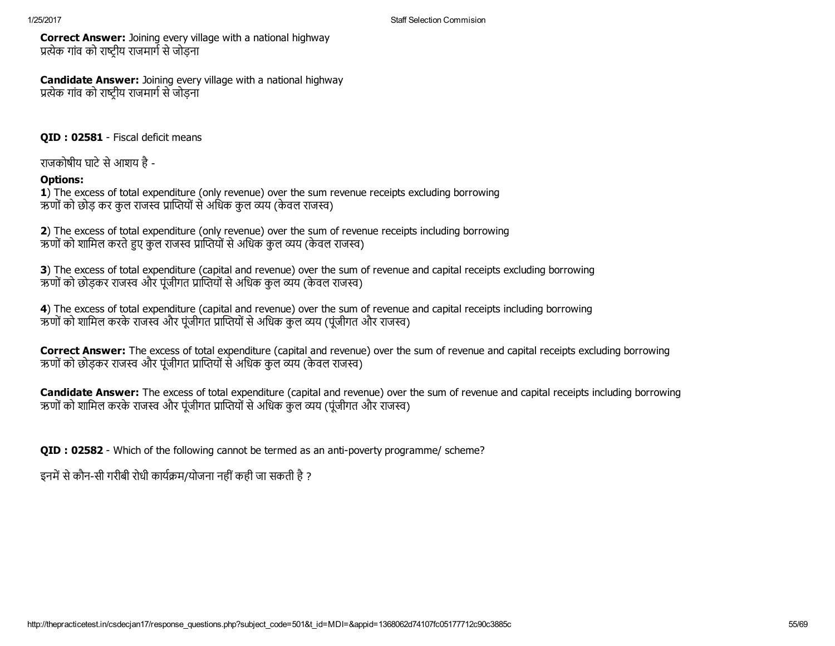Correct Answer: Joining every village with a national highway प्रत्येक गांव को राष्टीय राजमार्ग से जोडना

**Candidate Answer:** Joining every village with a national highway प्रत्येक गांव को राष्ट्रीय राजमार्ग से जोड़ना

QID : 02581 - Fiscal deficit means

राजकोषीय घाटे से आशय है -

# Options:

1) The excess of total expenditure (only revenue) over the sum revenue receipts excluding borrowing ऋणों को छोड़ कर कुल राजस्व प्राप्तियों से अधिक कुल व्यय (केवल राजस्व)

2) The excess of total expenditure (only revenue) over the sum of revenue receipts including borrowing ऋणों को शामिल करते हुए कुल राजस्व प्राप्तियों से अधिक कुल व्यय (केवल राजस्व)

3) The excess of total expenditure (capital and revenue) over the sum of revenue and capital receipts excluding borrowing ऋणों को छोड़कर राजस्व और पूंजीगत प्राप्तियों से अधिक कुल व्यय (केवल राजस्व)

4) The excess of total expenditure (capital and revenue) over the sum of revenue and capital receipts including borrowing ऋणों को शामिल करके राजस्व और पंजीगत प्राप्तियों से अधिक कुल व्यय (पंजीगत और राजस्व)

Correct Answer: The excess of total expenditure (capital and revenue) over the sum of revenue and capital receipts excluding borrowing ऋणों को छोड़कर राजस्व और पूंजीगत प्राप्तियों से अधिक कुल व्यय (केवल राजस्व)

Candidate Answer: The excess of total expenditure (capital and revenue) over the sum of revenue and capital receipts including borrowing ऋणों को शामिल करके राजस्व और पूंजीगत प्राप्तियों से अधिक कुल व्यय (पूंजीगत और राजस्व)

QID : 02582 - Which of the following cannot be termed as an anti-poverty programme/ scheme?

इनमें से कौन-सी गरीबी रोधी कार्यक्रम/योजना नहीं कही जा सकती है ?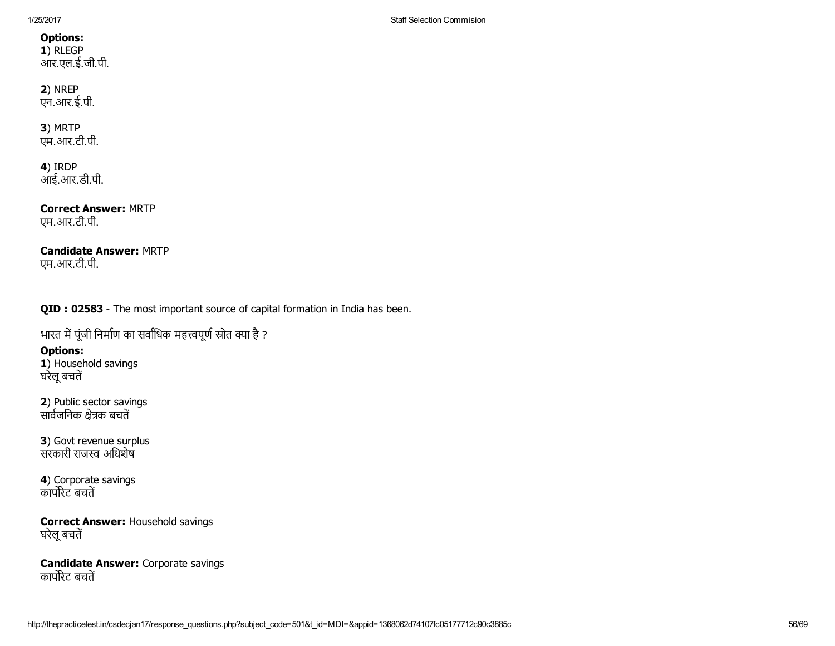1) RLEGP आर.एल.ई.जी.पी.

## 2) NREP एन.आर.ई.पी.

# 3) MRTP

एम.आर.टी.पी.

4) IRDP आई.आर.डी.पी.

Correct Answer: MRTP एम.आर.टी.पी.

## Candidate Answer: MRTP एम.आर.टी.पी.

QID : 02583 - The most important source of capital formation in India has been.

भारत में पूंजी निर्माण का सर्वाधिक महत्त्वपूर्ण स्रोत क्या है ?

# Options:

1) Household savings घरेलू बचतें

2) Public sector savings ्<br>सार्वजनिक क्षेत्रक बचतें

3) Govt revenue surplus ्<br>सरकारी राजस्व अधिशेष

4) Corporate savings ्र<br>कार्पोरेट बचतें

## Correct Answer: Household savings घरेलू बचतें

Candidate Answer: Corporate savings ्यागमञ्जू<br>कार्पोरेट बचतें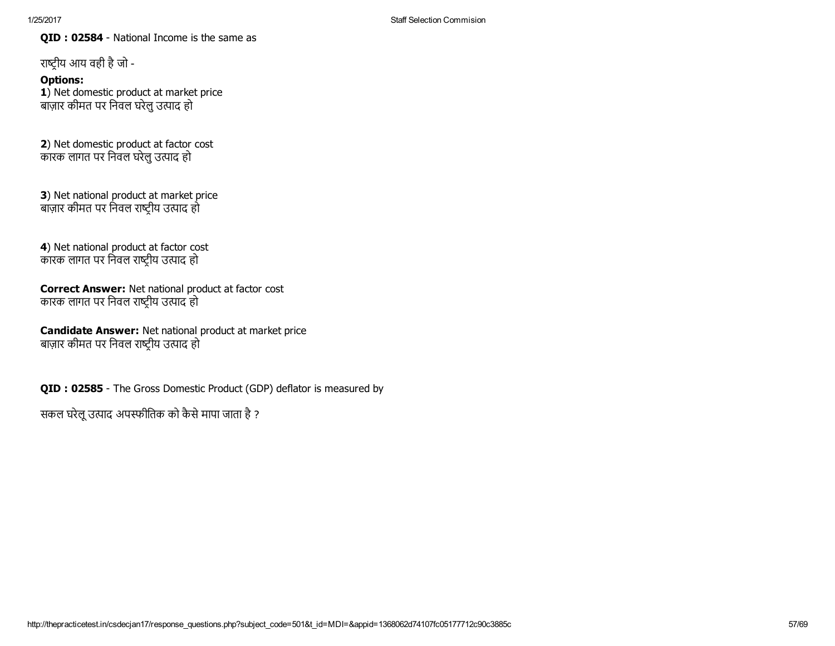QID : 02584 - National Income is the same as

राष्ट्रीय आय वही है जो -

Options: 1) Net domestic product at market price बाज़ार कीमत पर िनवल घरेलुउ藀पाद हो

2) Net domestic product at factor cost कारक लागत पर निवल घरेलु उत्पाद हो

3) Net national product at market price बाज़ार कीमत पर निवल राष्ट्रीय उत्पाद हो

4) Net national product at factor cost कारक लागत पर निवल राष्ट्रीय उत्पाद हो

Correct Answer: Net national product at factor cost कारक लागत पर निवल राष्ट्रीय उत्पाद हो

Candidate Answer: Net national product at market price बाज़ार कीमत पर निवल राष्ट्रीय उत्पाद हो

QID : 02585 - The Gross Domestic Product (GDP) deflator is measured by

सकल घरेलू उत्पाद अपस्फीतिक को कैसे मापा जाता है ?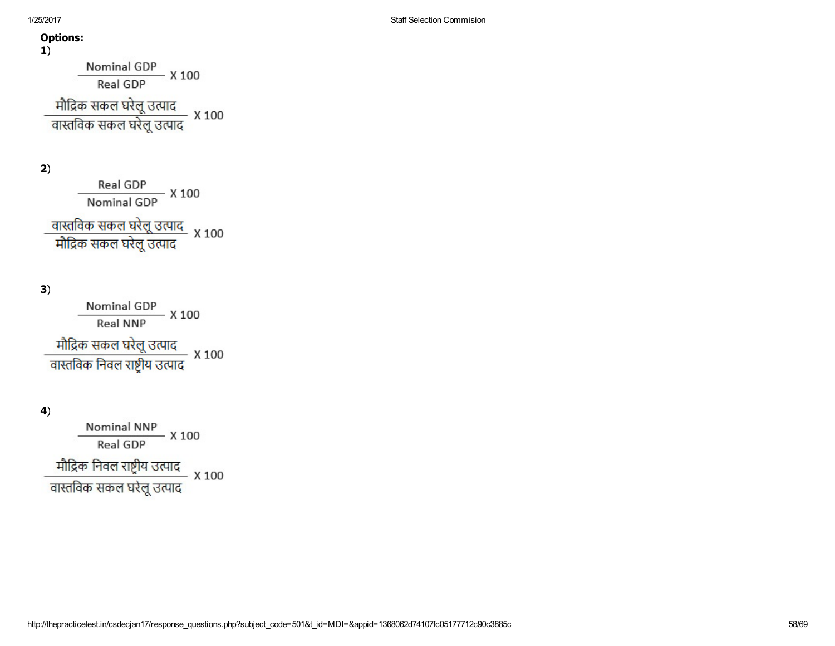1)

Nominal GDP<br>Real GDP<br>X 100

मौद्रिक सकल घरेलू उत्पाद<br>वास्तविक सकल घरेलू उत्पाद x 100

2)

Real GDP<br>Nominal GDP X 100

वास्तविक सकल घरेलू उत्पाद<br>मौद्रिक सकल घरेलू उत्पाद

3)

 $\frac{\hbox{ Nominal GDP}}{\hbox{Real NNP}} \; X \; 100$ मौद्रिक सकल घरेलू उत्पाद<br>वास्तविक निवल राष्ट्रीय उत्पाद × 100

4)

Nominal NNP<br>Real GDP<br>X 100 मौद्रिक निवल राष्ट्रीय उत्पाद<br>वास्तविक सकल घरेलू उत्पाद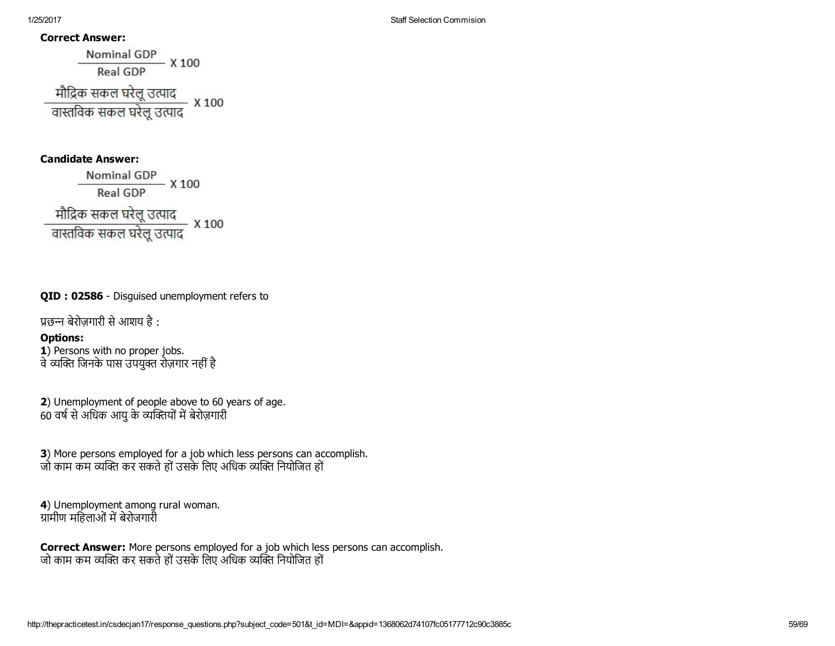#### Correct Answer:

Nominal GDP<br>Real GDP X 100 मौद्रिक सकल घरेलू उत्पाद<br>वास्तविक सकल घरेलू उत्पाद x 100

## Candidate Answer:

Nominal GDP<br>Real GDP X 100 मौद्रिक सकल घरेलू उत्पाद<br>वास्तविक सकल घरेलू उत्पाद × 100

## QID : 02586 - Disquised unemployment refers to

प्रछन्न बेरोज़गारी से आशय है:

## Options:

1) Persons with no proper jobs. वे व्यक्ति जिनके पास उपयुक्त रोज़गार नहीं है

2) Unemployment of people above to 60 years of age. 60 वर्ष से अधिक आयु के व्यक्तियों में बेरोज़गारी

3) More persons employed for a job which less persons can accomplish. जो काम कम व्यक्ति कर सकते हो उसके लिए अधिक व्यक्ति नियोजित हो

4) Unemployment among rural woman. ग्रामीण महिलाओं में बेरोजगारी

Correct Answer: More persons employed for a job which less persons can accomplish. जो काम कम व्यक्ति कर सकते हों उसके लिए अधिक व्यक्ति नियोजित हों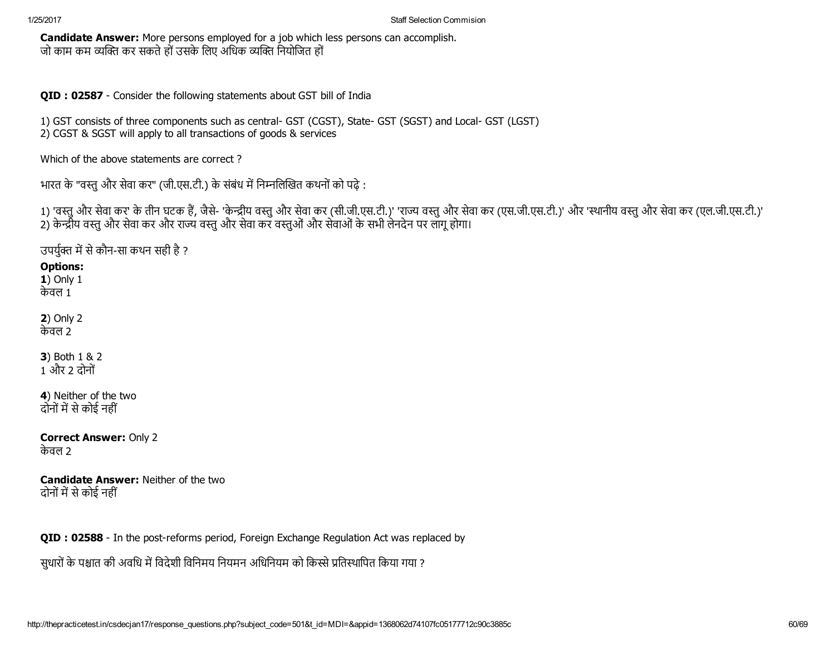Candidate Answer: More persons employed for a job which less persons can accomplish. जो काम कम व्यक्ति कर सकते हों उसके लिए अधिक व्यक्ति नियोजित हों

QID : 02587 - Consider the following statements about GST bill of India

1) GST consists of three components such as central- GST (CGST), State- GST (SGST) and Local- GST (LGST) 2) CGST & SGST will apply to all transactions of goods & services

Which of the above statements are correct ?

भारत के "वस्तु और सेवा कर" (जी.एस.टी.) के संबंध में निम्नलिखित कथनों को पढ़े:

1) 'वस्तु और सेवा कर' के तीन घटक हैं, जैसे- 'केन्द्रीय वस्तु और सेवा ऐस.टी.)' 'राज्य वस्तु और सेवा राइ.टी.)' परि सी.एस.की.एस.की.एस.टी.परस.टी.)' 'यस्तु और सेवा कर (एल.जी.एस.टी.)' 2) केन्द्रीय वस्तु और सेवा कर और राज्य वस्तु और सेवा कर वस्तुओं और सेवाओं के सभी लेनदेन पर लागू होगा।

उपर्युक्त में से कौन-सा कथन सही है ?

# Options:

1) Only 1 केवल 1

2) Only 2 केवल 2

3) Both 1 & 2 1 और 2 दोनों

4) Neither of the two दोनों में से कोई नहीं

Correct Answer: Only 2 केवल 2

Candidate Answer: Neither of the two दोनों में से कोई नहीं

QID : 02588 - In the post-reforms period, Foreign Exchange Regulation Act was replaced by

सुधारों के पश्चात की अवधि में विदेशी विनिमय नियमन अधिनियम को किस्से प्रतिस्थापित किया गया ?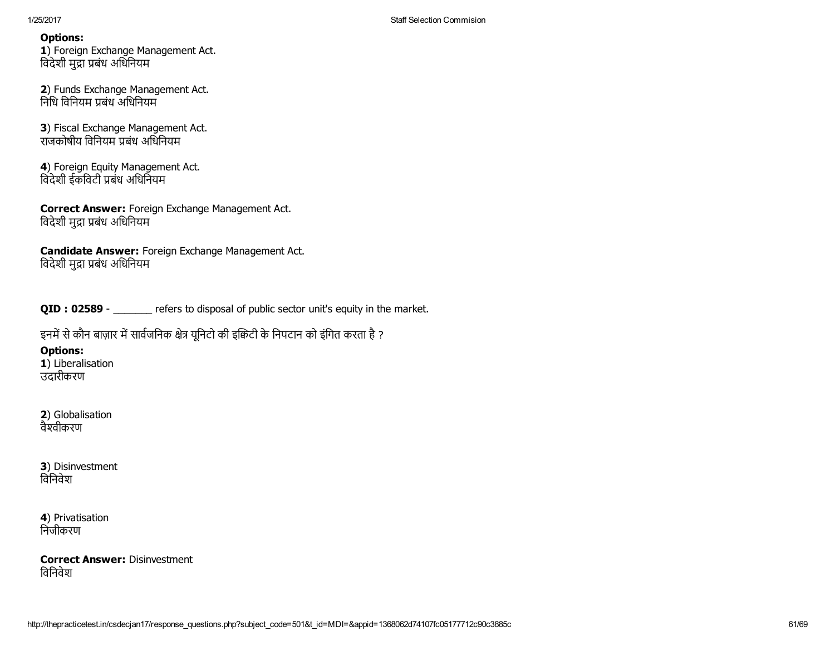1) Foreign Exchange Management Act. विदेशी मुद्रा प्रबंध अधिनियम

2) Funds Exchange Management Act. निधि विनियम प्रबंध अधिनियम

3) Fiscal Exchange Management Act. राजकोषीय विनियम पबंध अधिनियम

4) Foreign Equity Management Act. विदेशी ईकविटी प्रबंध अधिनियम

Correct Answer: Foreign Exchange Management Act. विदेशी मुद्रा प्रबंध अधिनियम

Candidate Answer: Foreign Exchange Management Act. विदेशी मुद्रा प्रबंध अधिनियम

QID : 02589 - \_\_\_\_\_\_ refers to disposal of public sector unit's equity in the market.

इनमें से कौन बाज़ार में सार्वजनिक क्षेत्र यूनिटो की इक्रिटी के निपटान को इंगित करता है ?

# Options:

1) Liberalisation उदारीकरण

2) Globalisation वैश्वीकरण

3) Disinvestment िविनवेश

4) Privatisation िनजीकरण

Correct Answer: Disinvestment िविनवेश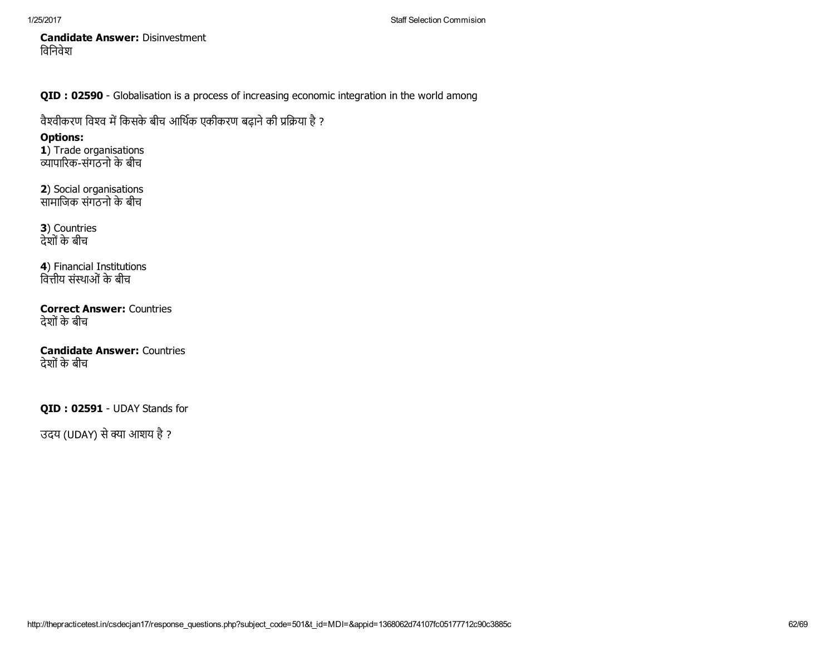Candidate Answer: Disinvestment िविनवेश

QID : 02590 - Globalisation is a process of increasing economic integration in the world among

वैश्वीकरण विश्व में किसके बीच आर्थिक एकीकरण बढ़ाने की प्रक्रिया है ?

# Options:

1) Trade organisations Āयापारकसगं ठनो के बीच

2) Social organisations सामाजिक संगठनो के बीच

3) Countries देशोंके बीच

4) Financial Institutions वित्तीय संस्थाओं के बीच

Correct Answer: Countries देशोंके बीच

Candidate Answer: Countries देशोंके बीच

QID: 02591 - UDAY Stands for

उदय (UDAY) से क्या आशय है ?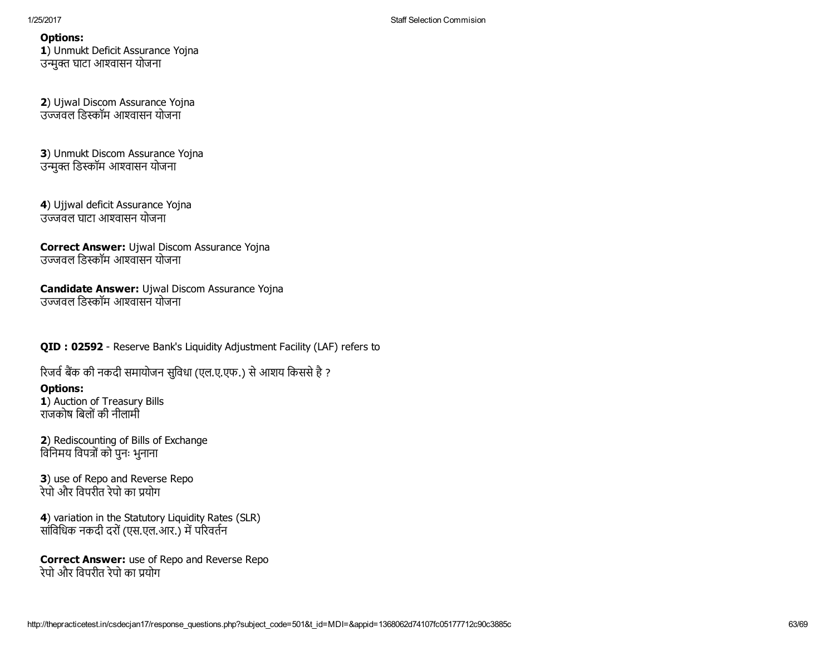1) Unmukt Deficit Assurance Yojna उन्मुक्त घाटा आश्वासन योजना

2) Ujwal Discom Assurance Yojna उञ्ज्जवल डिस्कॉम आश्वासन योजना

3) Unmukt Discom Assurance Yojna उन्मक्त डिस्कॉम आश्वासन योजना

4) Ujjwal deficit Assurance Yojna उЀजवल घाटा आ詀वासन योजना

Correct Answer: Ujwal Discom Assurance Yojna उज्जवल डिस्कॉम आश्वासन योजना

Candidate Answer: Ujwal Discom Assurance Yojna उज्जवल डिस्कॉम आश्वासन योजना

QID : 02592 - Reserve Bank's Liquidity Adjustment Facility (LAF) refers to

रिजर्व बैंक की नकदी समायोजन सुविधा (एल.ए.एफ.) से आशय किससे है ?

### Options:

1) Auction of Treasury Bills राजकोष िबलोंकी नीलामी

2) Rediscounting of Bills of Exchange विनिमय विपत्रों को पुनः भुनाना

3) use of Repo and Reverse Repo रेपो और विपरीत रेपो का प्रयोग

4) variation in the Statutory Liquidity Rates (SLR) सांविधिक नकदी दरों (एस.एल.आर.) में परिवर्तन

**Correct Answer:** use of Repo and Reverse Repo रेपो और विपरीत रेपो का प्रयोग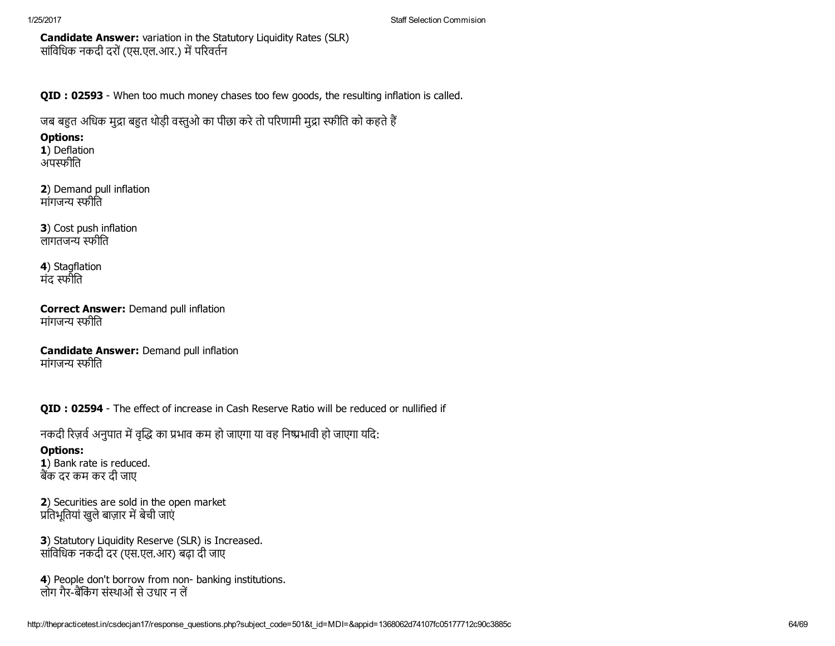Candidate Answer: variation in the Statutory Liquidity Rates (SLR) सांविधिक नकदी दरों (एस.एल.आर.) में परिवर्तन

QID : 02593 - When too much money chases too few goods, the resulting inflation is called.

जब बहुत अधिक मुद्रा बहुत थोड़ी वस्तुओ का पीछा करे तो परिणामी मुद्रा स्फीति को कहते हैं

## Options:

1) Deflation अपस्फीति

2) Demand pull inflation मांगजन्य स्फीति

3) Cost push inflation लागतजन्य स्फीति

4) Stagflation मंद स्फौति

Correct Answer: Demand pull inflation मांगजन्य स्फीति

Candidate Answer: Demand pull inflation मांगजन्य स्फीति

QID : 02594 - The effect of increase in Cash Reserve Ratio will be reduced or nullified if

नकदी रिज़र्व अनुपात में वृद्धि का प्रभाव कम हो जाएगा या वह निष्प्रभावी हो जाएगा यदि:

# Options:

1) Bank rate is reduced. बक दर कम कर दी जाए

2) Securities are sold in the open market प्रतिभूतियां खुले बाज़ार में बेची जाएं

3) Statutory Liquidity Reserve (SLR) is Increased. सांिविधक नकदी दर (एस.एल.आर) बढ़ा दी जाए

4) People don't borrow from non- banking institutions. लोग गैर-बैंकिंग संस्थाओं से उधार न लें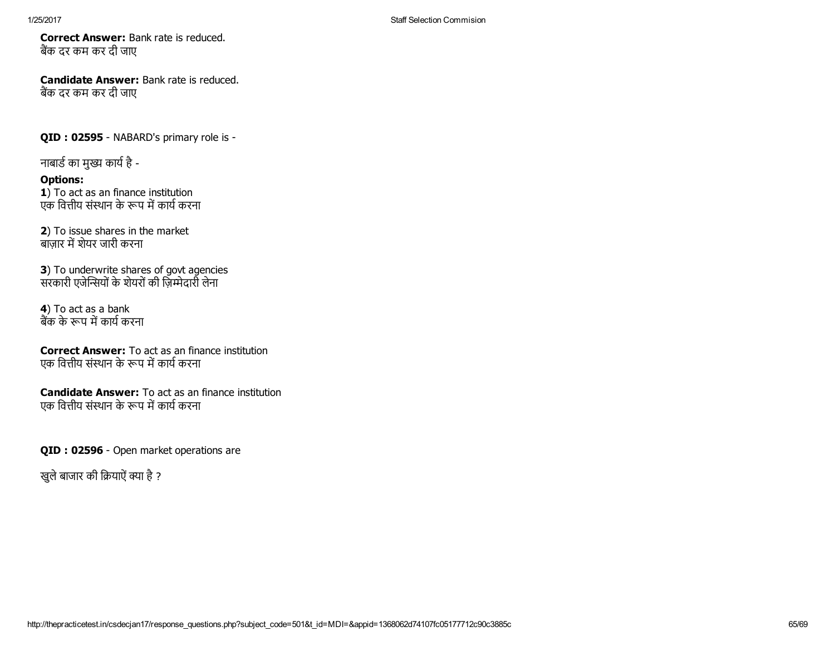Correct Answer: Bank rate is reduced. बैंक दर कम कर दी जाए

Candidate Answer: Bank rate is reduced. बक दर कम कर दी जाए

QID : 02595 - NABARD's primary role is -

नाबार्ड का मुख्य कार्य है -

# Options:

1) To act as an finance institution एक वित्तीय संस्थान के रूप में कार्य करना

2) To issue shares in the market ुबाजार में शेयर जारी करना

**3)** To underwrite shares of govt agencies सरकारी एजेन्सियों के शेयरों की ज़िम्मेदारी लेना

4) To act as a bank बैंक के रूप में कार्य करना

Correct Answer: To act as an finance institution एक वित्तीय संस्थान के रूप में कार्य करना

Candidate Answer: To act as an finance institution एक वित्तीय संस्थान के रूप में कार्य करना

QID : 02596 - Open market operations are

खुले बाजार की क्रियाऐं क्या है ?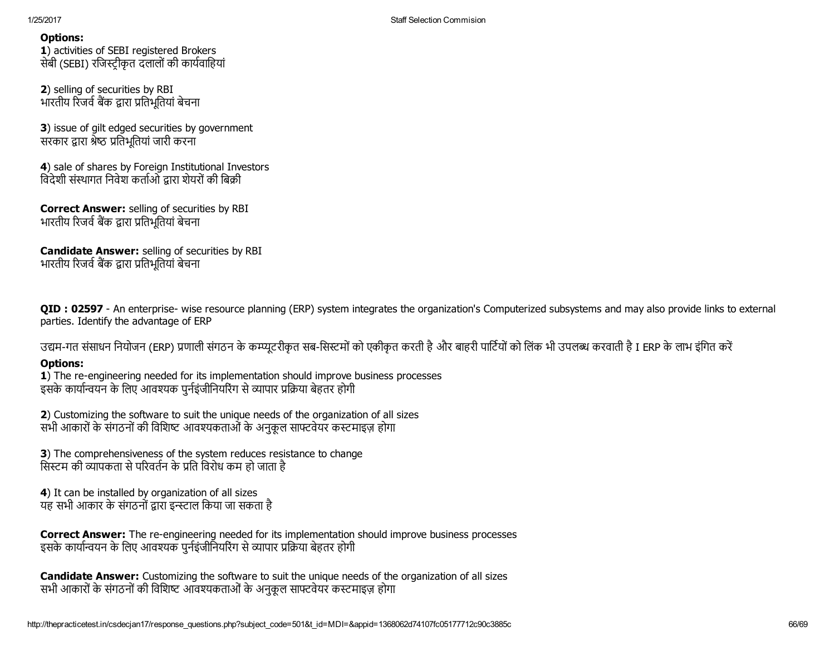1) activities of SEBI registered Brokers सेबी (SEBI) रजिस्ट्रीकृत दलालों की कार्यवाहियां

2) selling of securities by RBI भारतीय रिजर्व बैंक द्वारा प्रतिभूतियां बेचना

**3**) issue of gilt edged securities by government सरकार द्वारा श्रेष्ठ प्रतिभूतियां जारी करना

4) sale of shares by Foreign Institutional Investors विदेशी संस्थागत निवेश कर्ताओं द्रारा शेयरों की बिक्री

Correct Answer: selling of securities by RBI भारतीय रिजर्व बैंक द्वारा प्रतिभूतियां बेचना

Candidate Answer: selling of securities by RBI भारतीय रिजर्व बैंक द्वारा प्रतिभूतियां बेचना

QID : 02597 - An enterprise- wise resource planning (ERP) system integrates the organization's Computerized subsystems and may also provide links to external parties. Identify the advantage of ERP

उद्यम-गत संसाधन नियोजन (ERP) प्रणाली संगठन के कम्प्यूटरीकृत सब-सिस्टमों को एकीकृत करती है और बाहरी पार्टियों को लिंक भी उपलब्ध करवाती है I ERP के लाभ इंगित करें

## Options:

1) The re-engineering needed for its implementation should improve business processes इसके कार्यान्वयन के लिए आवश्यक पुर्नइंजीनियरिंग से व्यापार प्रक्रिया बेहतर होगी

2) Customizing the software to suit the unique needs of the organization of all sizes सभी आकारों के संगठनों की विशिष्ट आवश्यकताओं के अनुकूल साफ्टवेयर कस्टमाइज़ होगा

3) The comprehensiveness of the system reduces resistance to change सिस्टम की व्यापकता से परिवर्तन के प्रति विरोध कम हो जाता है

4) It can be installed by organization of all sizes यह सभी आकार के संगठनों द्वारा इन्स्टाल किया जा सकता है

Correct Answer: The re-engineering needed for its implementation should improve business processes इसके कार्यान्वयन के लिए आवश्यक पर्नइंजीनियरिंग से व्यापार प्रक्रिया बेहतर होगी

Candidate Answer: Customizing the software to suit the unique needs of the organization of all sizes सभी आकारों के संगठनों की विशिष्ट आवश्यकताओं के अनुकूल साफ्टवेयर कस्टमाइज़ होगा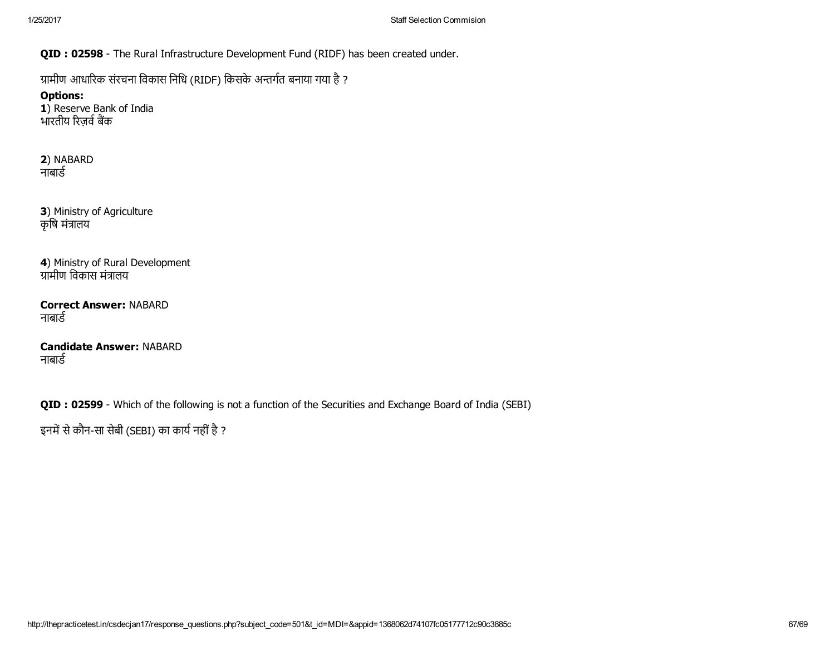QID : 02598 - The Rural Infrastructure Development Fund (RIDF) has been created under.

ग्रामीण आधारिक संरचना विकास निधि (RIDF) किसके अन्तर्गत बनाया गया है ?

Options: 1) Reserve Bank of India भारतीय रिज़र्व बैंक

2) NABARD नाबार्ड

3) Ministry of Agriculture कृषि मंत्रालय

4) Ministry of Rural Development ग्रामीण विकास मंत्रालय

Correct Answer: NABARD नाबार्ड

Candidate Answer: NABARD नाबार्ड

QID : 02599 - Which of the following is not a function of the Securities and Exchange Board of India (SEBI)

इनमें से कौन-सा सेबी (SEBI) का कार्य नहीं है ?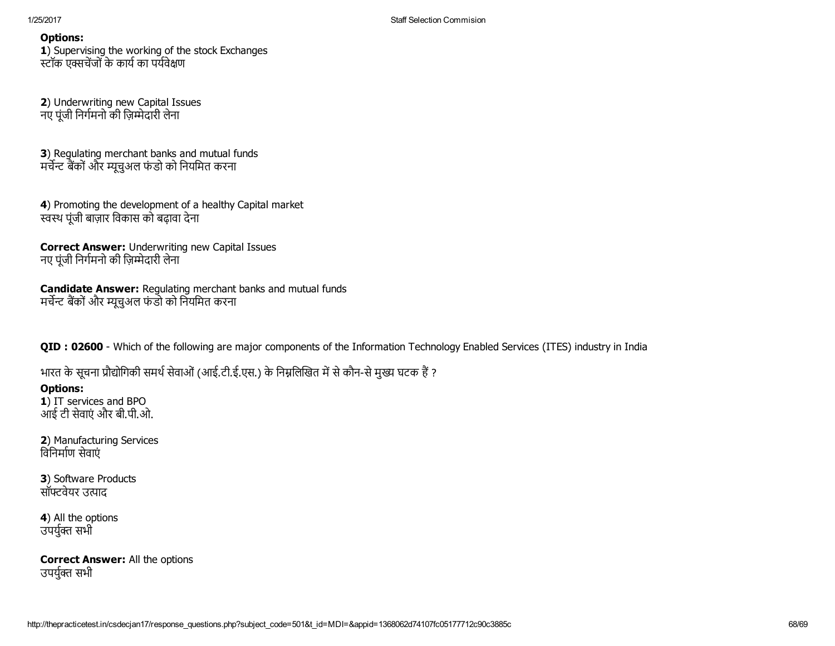1) Supervising the working of the stock Exchanges स्टॉक एक्सचेंजों के कार्य का पर्यवेक्षण

2) Underwriting new Capital Issues नए पंजी निर्गमनो की ज़िम्मेदारी लेना

3) Regulating merchant banks and mutual funds मर्चेन्ट बैंकों और म्यूचअल फंडो को नियमित करना

4) Promoting the development of a healthy Capital market स्वस्थ पूंजी बाज़ार विकास को बढ़ावा देना

Correct Answer: Underwriting new Capital Issues नए पूंजी निर्गमनो की ज़िम्मेदारी लेना

Candidate Answer: Regulating merchant banks and mutual funds मर्चेन्ट बैंकों और म्यूचुअल फंडो को नियमित करना

QID : 02600 - Which of the following are major components of the Information Technology Enabled Services (ITES) industry in India

भारत के सूचना प्रौद्योगिकी समर्थ सेवाओं (आई.टी.ई.एस.) के निम्नलिखित में से कौन-से मुख्य घटक हैं ?

# Options:

1) IT services and BPO आई टी सेवाएं और बी.पी.ओ.

2) Manufacturing Services विनिर्माण सेवाएं

3) Software Products सॉफ्टवेयर उत्पाद

4) All the options उपर्युक्त सभी

Correct Answer: All the options उपर्युक्त सभी